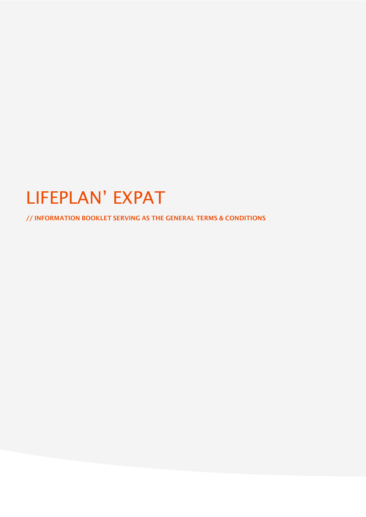# LIFEPLAN' EXPAT

// INFORMATION BOOKLET SERVING AS THE GENERAL TERMS & CONDITIONS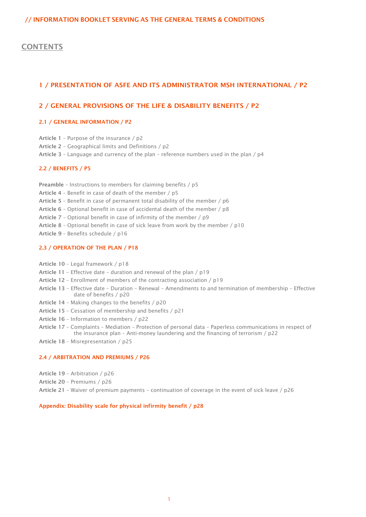# // INFORMATION BOOKLET SERVING AS THE GENERAL TERMS & CONDITIONS

# **CONTENTS**

# 1 / [PRESENTATION OF ASFE AND ITS ADMINISTRATOR MSH INTERNATIONAL / P2](#page-2-0)

# 2 / [GENERAL PROVISIONS OF THE LIFE & DISABILITY BENEFITS / P2](#page-2-1)

# 2.1 / [GENERAL INFORMATION / P2](#page-2-2)

Article 1 – [Purpose of the insurance / p2](#page-2-3)

Article 2 – [Geographical limits and Definitions / p2](#page-2-4)

Article 3 – Language and currency of the plan – [reference numbers used in the plan / p4](#page-4-0)

# [2.2 / BENEFITS / P5](#page-5-0)

Preamble – Instructions [to members for claiming benefits / p5](#page-5-1)

Article 4 – [Benefit in case of death of the member / p5](#page-5-2)

Article 5 – [Benefit in case of permanent total disability of the member / p6](#page-6-0)

Article 6 – [Optional benefit in case of accidental death of the member / p8](#page-8-0)

Article 7 – [Optional benefit in case of infirmity of the member / p9](#page-9-0)

Article 8 – [Optional benefit in case of sick leave from work by the member / p10](#page-10-0)

Article 9 – [Benefits schedule / p16](#page-16-0)

# [2.3 / OPERATION OF THE PLAN / P18](#page-18-0)

Article 10 – [Legal framework / p18](#page-18-1)

Article 11 – Effective date – [duration and renewal of the plan / p19](#page-19-0)

Article 12 – [Enrollment of members of the contracting association / p19](#page-19-1)

- Article 13 Effective date Duration Renewal [Amendments to and termination of membership –](#page-20-0) Effective [date of benefits / p20](#page-20-0)
- Article 14 [Making changes to the benefits / p20](#page-20-1)
- Article 15 [Cessation of membership and benefits / p21](#page-21-0)
- Article 16 [Information to members / p22](#page-22-0)
- Article 17 Complaints Mediation Protection of personal data [Paperless communications in respect of](#page-22-1)  the insurance plan – [Anti-money laundering and the financing of terrorism / p22](#page-22-1)

Article 18 – [Misrepresentation / p25](#page-25-0)

#### [2.4 / ARBITRATION AND PREMIUMS / P26](#page-26-0)

Article 19 – [Arbitration / p26](#page-26-1)

Article 20 – [Premiums / p26](#page-26-2)

Article 21 – Waiver of premium payments – [continuation of coverage in the event of sick leave / p26](#page-26-3)

#### [Appendix: Disability scale for physical infirmity benefit / p28](#page-28-0)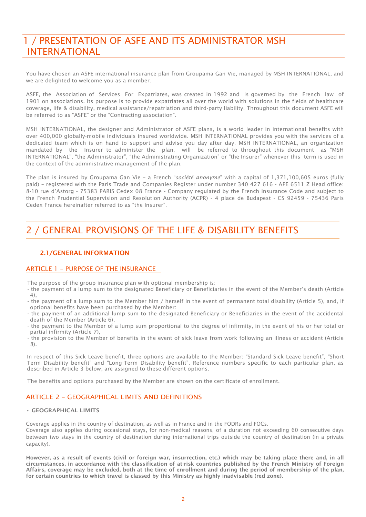# <span id="page-2-0"></span>1 / PRESENTATION OF ASFE AND ITS ADMINISTRATOR MSH INTERNATIONAL

You have chosen an ASFE international insurance plan from Groupama Gan Vie, managed by MSH INTERNATIONAL, and we are delighted to welcome you as a member.

ASFE, the Association of Services For Expatriates, was created in 1992 and is governed by the French law of 1901 on associations. Its purpose is to provide expatriates all over the world with solutions in the fields of healthcare coverage, life & disability, medical assistance/repatriation and third-party liability. Throughout this document ASFE will be referred to as "ASFE" or the "Contracting association".

MSH INTERNATIONAL, the designer and Administrator of ASFE plans, is a world leader in international benefits with over 400,000 globally-mobile individuals insured worldwide. MSH INTERNATIONAL provides you with the services of a dedicated team which is on hand to support and advise you day after day. MSH INTERNATIONAL, an organization mandated by the Insurer to administer the plan, will be referred to throughout this document as "MSH INTERNATIONAL", "the Administrator", "the Administrating Organization" or "the Insurer" whenever this term is used in the context of the administrative management of the plan.

The plan is insured by Groupama Gan Vie – a French "*société anonyme*" with a capital of 1,371,100,605 euros (fully paid) – registered with the Paris Trade and Companies Register under number 340 427 616 - APE 6511 Z Head office: 8-10 rue d'Astorg - 75383 PARIS Cedex 08 France - Company regulated by the French Insurance Code and subject to the French Prudential Supervision and Resolution Authority (ACPR) - 4 place de Budapest - CS 92459 - 75436 Paris Cedex France hereinafter referred to as "the Insurer".

# <span id="page-2-1"></span>2 / GENERAL PROVISIONS OF THE LIFE & DISABILITY BENEFITS

# <span id="page-2-2"></span>2.1/GENERAL INFORMATION

# <span id="page-2-3"></span>ARTICLE 1 – PURPOSE OF THE INSURANCE

The purpose of the group insurance plan with optional membership is:

- the payment of a lump sum to the designated Beneficiary or Beneficiaries in the event of the Member's death (Article 4),
- the payment of a lump sum to the Member him / herself in the event of permanent total disability (Article 5), and, if optional benefits have been purchased by the Member:
- the payment of an additional lump sum to the designated Beneficiary or Beneficiaries in the event of the accidental death of the Member (Article 6),
- the payment to the Member of a lump sum proportional to the degree of infirmity, in the event of his or her total or partial infirmity (Article 7),
- the provision to the Member of benefits in the event of sick leave from work following an illness or accident (Article 8).

In respect of this Sick Leave benefit, three options are available to the Member: "Standard Sick Leave benefit", "Short Term Disability benefit" and "Long-Term Disability benefit". Reference numbers specific to each particular plan, as described in Article 3 below, are assigned to these different options.

The benefits and options purchased by the Member are shown on the certificate of enrollment.

# <span id="page-2-4"></span>ARTICLE 2 – GEOGRAPHICAL LIMITS AND DEFINITIONS

# • GEOGRAPHICAL LIMITS

Coverage applies in the country of destination, as well as in France and in the FODRs and FOCs.

Coverage also applies during occasional stays, for non-medical reasons, of a duration not exceeding 60 consecutive days between two stays in the country of destination during international trips outside the country of destination (in a private capacity).

However, as a result of events (civil or foreign war, insurrection, etc.) which may be taking place there and, in all circumstances, in accordance with the classification of at-risk countries published by the French Ministry of Foreign Affairs, coverage may be excluded, both at the time of enrollment and during the period of membership of the plan, for certain countries to which travel is classed by this Ministry as highly inadvisable (red zone).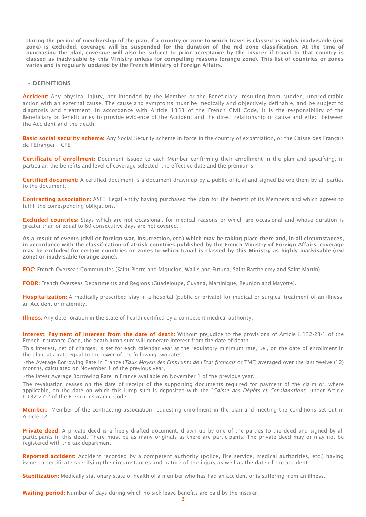During the period of membership of the plan, if a country or zone to which travel is classed as highly inadvisable (red zone) is excluded, coverage will be suspended for the duration of the red zone classification. At the time of purchasing the plan, coverage will also be subject to prior acceptance by the insurer if travel to that country is classed as inadvisable by this Ministry unless for compelling reasons (orange zone). This list of countries or zones varies and is regularly updated by the French Ministry of Foreign Affairs.

#### • DEFINITIONS

Accident: Any physical injury, not intended by the Member or the Beneficiary, resulting from sudden, unpredictable action with an external cause. The cause and symptoms must be medically and objectively definable, and be subject to diagnosis and treatment. In accordance with Article 1353 of the French Civil Code, it is the responsibility of the Beneficiary or Beneficiaries to provide evidence of the Accident and the direct relationship of cause and effect between the Accident and the death.

Basic social security scheme: Any Social Security scheme in force in the country of expatriation, or the Caisse des Français de l'Etranger – CFE.

Certificate of enrollment: Document issued to each Member confirming their enrollment in the plan and specifying, in particular, the benefits and level of coverage selected, the effective date and the premiums.

Certified document: A certified document is a document drawn up by a public official and signed before them by all parties to the document.

Contracting association: ASFE: Legal entity having purchased the plan for the benefit of its Members and which agrees to fulfill the corresponding obligations.

**Excluded countries:** Stays which are not occasional, for medical reasons or which are occasional and whose duration is greater than or equal to 60 consecutive days are not covered.

As a result of events (civil or foreign war, insurrection, etc.) which may be taking place there and, in all circumstances, in accordance with the classification of at-risk countries published by the French Ministry of Foreign Affairs, coverage may be excluded for certain countries or zones to which travel is classed by this Ministry as highly inadvisable (red zone) or inadvisable (orange zone).

FOC: French Overseas Communities (Saint Pierre and Miquelon, Wallis and Futuna, Saint-Barthelemy and Saint-Martin).

FODR: French Overseas Departments and Regions (Guadeloupe, Guyana, Martinique, Reunion and Mayotte).

Hospitalization: A medically-prescribed stay in a hospital (public or private) for medical or surgical treatment of an illness, an Accident or maternity.

Illness: Any deterioration in the state of health certified by a competent medical authority.

Interest: Payment of interest from the date of death: Without prejudice to the provisions of Article L.132-23-1 of the French Insurance Code, the death lump sum will generate interest from the date of death.

This interest, net of charges, is set for each calendar year at the regulatory minimum rate, i.e., on the date of enrollment in the plan, at a rate equal to the lower of the following two rates:

•the Average Borrowing Rate in France (*Taux Moyen des Emprunts de l'Etat français* or TME) averaged over the last twelve (12) months, calculated on November 1 of the previous year,

•the latest Average Borrowing Rate in France available on November 1 of the previous year.

The revaluation ceases on the date of receipt of the supporting documents required for payment of the claim or, where applicable, on the date on which this lump sum is deposited with the "*Caisse des Dépôts et Consignations*" under Article L.132-27-2 of the French Insurance Code.

Member: Member of the contracting association requesting enrollment in the plan and meeting the conditions set out in Article 12.

Private deed: A private deed is a freely drafted document, drawn up by one of the parties to the deed and signed by all participants in this deed. There must be as many originals as there are participants. The private deed may or may not be registered with the tax department.

Reported accident: Accident recorded by a competent authority (police, fire service, medical authorities, etc.) having issued a certificate specifying the circumstances and nature of the injury as well as the date of the accident.

Stabilization: Medically stationary state of health of a member who has had an accident or is suffering from an illness.

Waiting period: Number of days during which no sick leave benefits are paid by the insurer.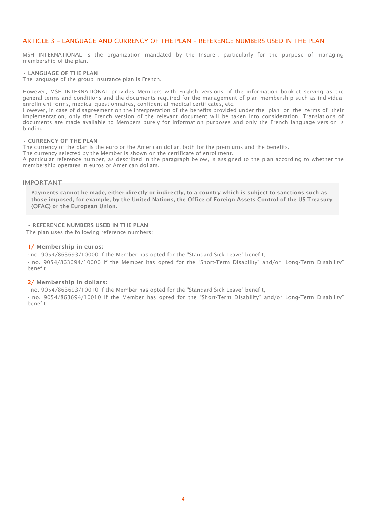# <span id="page-4-0"></span>ARTICLE 3 – LANGUAGE AND CURRENCY OF THE PLAN – REFERENCE NUMBERS USED IN THE PLAN

MSH INTERNATIONAL is the organization mandated by the Insurer, particularly for the purpose of managing membership of the plan.

#### • LANGUAGE OF THE PLAN

The language of the group insurance plan is French.

However, MSH INTERNATIONAL provides Members with English versions of the information booklet serving as the general terms and conditions and the documents required for the management of plan membership such as individual enrollment forms, medical questionnaires, confidential medical certificates, etc.

However, in case of disagreement on the interpretation of the benefits provided under the plan or the terms of their implementation, only the French version of the relevant document will be taken into consideration. Translations of documents are made available to Members purely for information purposes and only the French language version is binding.

#### • CURRENCY OF THE PLAN

The currency of the plan is the euro or the American dollar, both for the premiums and the benefits.

The currency selected by the Member is shown on the certificate of enrollment.

A particular reference number, as described in the paragraph below, is assigned to the plan according to whether the membership operates in euros or American dollars.

#### IMPORTANT

Payments cannot be made, either directly or indirectly, to a country which is subject to sanctions such as those imposed, for example, by the United Nations, the Office of Foreign Assets Control of the US Treasury (OFAC) or the European Union.

• REFERENCE NUMBERS USED IN THE PLAN

The plan uses the following reference numbers:

#### 1/ Membership in euros:

- no. 9054/863693/10000 if the Member has opted for the "Standard Sick Leave" benefit,

- no. 9054/863694/10000 if the Member has opted for the "Short-Term Disability" and/or "Long-Term Disability" benefit.

#### 2/ Membership in dollars:

- no. 9054/863693/10010 if the Member has opted for the "Standard Sick Leave" benefit,

- no. 9054/863694/10010 if the Member has opted for the "Short-Term Disability" and/or Long-Term Disability" benefit.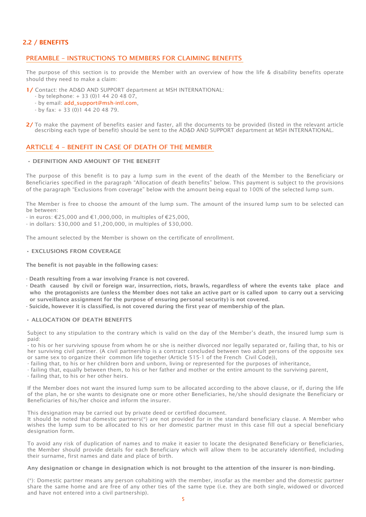# <span id="page-5-0"></span>2.2 / BENEFITS

# <span id="page-5-1"></span>PREAMBLE – INSTRUCTIONS TO MEMBERS FOR CLAIMING BENEFITS

The purpose of this section is to provide the Member with an overview of how the life & disability benefits operate should they need to make a claim:

- 1/ Contact: the AD&D AND SUPPORT department at MSH INTERNATIONAL:
	- by telephone: + 33 (0)1 44 20 48 07,
	- by email: [add\\_support@msh-intl.com,](mailto:add_support@msh-intl.com)
	- by fax: + 33 (0)1 44 20 48 79.
- 2/ To make the payment of benefits easier and faster, all the documents to be provided (listed in the relevant article describing each type of benefit) should be sent to the AD&D AND SUPPORT department at MSH INTERNATIONAL.

# <span id="page-5-2"></span>ARTICLE 4 – BENEFIT IN CASE OF DEATH OF THE MEMBER

#### • DEFINITION AND AMOUNT OF THE BENEFIT

The purpose of this benefit is to pay a lump sum in the event of the death of the Member to the Beneficiary or Beneficiaries specified in the paragraph "Allocation of death benefits" below. This payment is subject to the provisions of the paragraph "Exclusions from coverage" below with the amount being equal to 100% of the selected lump sum.

The Member is free to choose the amount of the lump sum. The amount of the insured lump sum to be selected can be between:

- in euros: €25,000 and €1,000,000, in multiples of €25,000,

- in dollars: \$30,000 and \$1,200,000, in multiples of \$30,000.

The amount selected by the Member is shown on the certificate of enrollment.

#### • EXCLUSIONS FROM COVERAGE

The benefit is not payable in the following cases:

- Death resulting from a war involving France is not covered.
- Death caused by civil or foreign war, insurrection, riots, brawls, regardless of where the events take place and who the protagonists are (unless the Member does not take an active part or is called upon to carry out a servicing or surveillance assignment for the purpose of ensuring personal security) is not covered.
- Suicide, however it is classified, is not covered during the first year of membership of the plan.

#### • ALLOCATION OF DEATH BENEFITS

Subject to any stipulation to the contrary which is valid on the day of the Member's death, the insured lump sum is paid:

- to his or her surviving spouse from whom he or she is neither divorced nor legally separated or, failing that, to his or her surviving civil partner. (A civil partnership is a contract concluded between two adult persons of the opposite sex or same sex to organize their common life together (Article 515-1 of the French Civil Code)),

- failing that, to his or her children born and unborn, living or represented for the purposes of inheritance,

- failing that, equally between them, to his or her father and mother or the entire amount to the surviving parent,

- failing that, to his or her other heirs.

If the Member does not want the insured lump sum to be allocated according to the above clause, or if, during the life of the plan, he or she wants to designate one or more other Beneficiaries, he/she should designate the Beneficiary or Beneficiaries of his/her choice and inform the insurer.

This designation may be carried out by private deed or certified document.

It should be noted that domestic partners(\*) are not provided for in the standard beneficiary clause. A Member who wishes the lump sum to be allocated to his or her domestic partner must in this case fill out a special beneficiary designation form.

To avoid any risk of duplication of names and to make it easier to locate the designated Beneficiary or Beneficiaries, the Member should provide details for each Beneficiary which will allow them to be accurately identified, including their surname, first names and date and place of birth.

#### Any designation or change in designation which is not brought to the attention of the insurer is non-binding.

(\*): Domestic partner means any person cohabiting with the member, insofar as the member and the domestic partner share the same home and are free of any other ties of the same type (i.e. they are both single, widowed or divorced and have not entered into a civil partnership).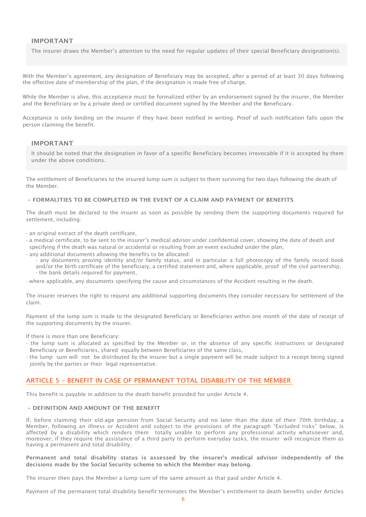# IMPORTANT

The insurer draws the Member's attention to the need for regular updates of their special Beneficiary designation(s).

With the Member's agreement, any designation of Beneficiary may be accepted, after a period of at least 30 days following the effective date of membership of the plan, if the designation is made free of charge.

While the Member is alive, this acceptance must be formalized either by an endorsement signed by the insurer, the Member and the Beneficiary or by a private deed or certified document signed by the Member and the Beneficiary.

Acceptance is only binding on the insurer if they have been notified in writing. Proof of such notification falls upon the person claiming the benefit.

#### IMPORTANT

It should be noted that the designation in favor of a specific Beneficiary becomes irrevocable if it is accepted by them under the above conditions.

The entitlement of Beneficiaries to the insured lump sum is subject to them surviving for two days following the death of the Member.

#### • FORMALITIES TO BE COMPLETED IN THE EVENT OF A CLAIM AND PAYMENT OF BENEFITS

The death must be declared to the insurer as soon as possible by sending them the supporting documents required for settlement, including:

- an original extract of the death certificate,

- a medical certificate, to be sent to the insurer's medical advisor under confidential cover, showing the date of death and specifying if the death was natural or accidental or resulting from an event excluded under the plan,
- any additional documents allowing the benefits to be allocated:
	- any documents proving identity and/or family status, and in particular a full photocopy of the family record book and/or the birth certificate of the beneficiary, a certified statement and, where applicable, proof of the civil partnership, - the bank details required for payment,

- where applicable, any documents specifying the cause and circumstances of the Accident resulting in the death.

The insurer reserves the right to request any additional supporting documents they consider necessary for settlement of the claim.

Payment of the lump sum is made to the designated Beneficiary or Beneficiaries within one month of the date of receipt of the supporting documents by the insurer.

If there is more than one Beneficiary:

- the lump sum is allocated as specified by the Member or, in the absence of any specific instructions or designated Beneficiary or Beneficiaries, shared equally between Beneficiaries of the same class,
- the lump sum will not be distributed by the insurer but a single payment will be made subject to a receipt being signed jointly by the parties or their legal representative.

# <span id="page-6-0"></span>ARTICLE 5 – BENEFIT IN CASE OF PERMANENT TOTAL DISABILITY OF THE MEMBER

This benefit is payable in addition to the death benefit provided for under Article 4.

# • DEFINITION AND AMOUNT OF THE BENEFIT

If, before claiming their old-age pension from Social Security and no later than the date of their 70th birthday, a Member, following an illness or Accident and subject to the provisions of the paragraph "Excluded risks" below, is affected by a disability which renders them totally unable to perform any professional activity whatsoever and, moreover, if they require the assistance of a third party to perform everyday tasks, the insurer will recognize them as having a permanent and total disability.

Permanent and total disability status is assessed by the insurer's medical advisor independently of the decisions made by the Social Security scheme to which the Member may belong.

The insurer then pays the Member a lump sum of the same amount as that paid under Article 4.

Payment of the permanent total disability benefit terminates the Member's entitlement to death benefits under Articles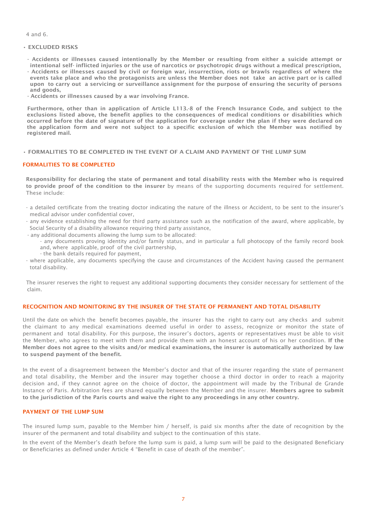4 and 6.

- EXCLUDED RISKS
- Accidents or illnesses caused intentionally by the Member or resulting from either a suicide attempt or intentional self- inflicted injuries or the use of narcotics or psychotropic drugs without a medical prescription, - Accidents or illnesses caused by civil or foreign war, insurrection, riots or brawls regardless of where the events take place and who the protagonists are unless the Member does not take an active part or is called
- upon to carry out a servicing or surveillance assignment for the purpose of ensuring the security of persons and goods,
- Accidents or illnesses caused by a war involving France.

Furthermore, other than in application of Article L113.-8 of the French Insurance Code, and subject to the exclusions listed above, the benefit applies to the consequences of medical conditions or disabilities which occurred before the date of signature of the application for coverage under the plan if they were declared on the application form and were not subject to a specific exclusion of which the Member was notified by registered mail.

• FORMALITIES TO BE COMPLETED IN THE EVENT OF A CLAIM AND PAYMENT OF THE LUMP SUM

#### FORMALITIES TO BE COMPLETED

Responsibility for declaring the state of permanent and total disability rests with the Member who is required to provide proof of the condition to the insurer by means of the supporting documents required for settlement. These include:

- a detailed certificate from the treating doctor indicating the nature of the illness or Accident, to be sent to the insurer's medical advisor under confidential cover,
- any evidence establishing the need for third party assistance such as the notification of the award, where applicable, by Social Security of a disability allowance requiring third party assistance,
- any additional documents allowing the lump sum to be allocated:
	- any documents proving identity and/or family status, and in particular a full photocopy of the family record book and, where applicable, proof of the civil partnership,
	- the bank details required for payment,
- where applicable, any documents specifying the cause and circumstances of the Accident having caused the permanent total disability.

The insurer reserves the right to request any additional supporting documents they consider necessary for settlement of the claim.

#### RECOGNITION AND MONITORING BY THE INSURER OF THE STATE OF PERMANENT AND TOTAL DISABILITY

Until the date on which the benefit becomes payable, the insurer has the right to carry out any checks and submit the claimant to any medical examinations deemed useful in order to assess, recognize or monitor the state of permanent and total disability. For this purpose, the insurer's doctors, agents or representatives must be able to visit the Member, who agrees to meet with them and provide them with an honest account of his or her condition. If the Member does not agree to the visits and/or medical examinations, the insurer is automatically authorized by law to suspend payment of the benefit.

In the event of a disagreement between the Member's doctor and that of the insurer regarding the state of permanent and total disability, the Member and the insurer may together choose a third doctor in order to reach a majority decision and, if they cannot agree on the choice of doctor, the appointment will made by the Tribunal de Grande Instance of Paris. Arbitration fees are shared equally between the Member and the insurer. Members agree to submit to the jurisdiction of the Paris courts and waive the right to any proceedings in any other country.

#### PAYMENT OF THE LUMP SUM

The insured lump sum, payable to the Member him / herself, is paid six months after the date of recognition by the insurer of the permanent and total disability and subject to the continuation of this state.

In the event of the Member's death before the lump sum is paid, a lump sum will be paid to the designated Beneficiary or Beneficiaries as defined under Article 4 "Benefit in case of death of the member".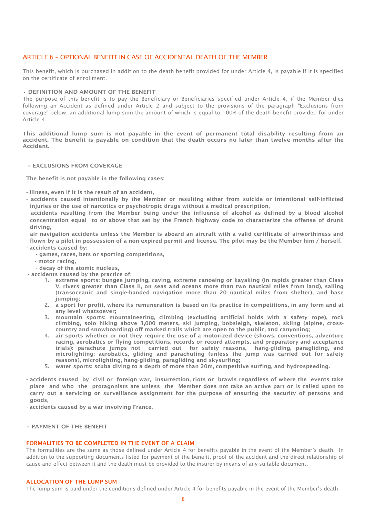# <span id="page-8-0"></span>ARTICLE 6 – OPTIONAL BENEFIT IN CASE OF ACCIDENTAL DEATH OF THE MEMBER

This benefit, which is purchased in addition to the death benefit provided for under Article 4, is payable if it is specified on the certificate of enrollment.

#### • DEFINITION AND AMOUNT OF THE BENEFIT

The purpose of this benefit is to pay the Beneficiary or Beneficiaries specified under Article 4, if the Member dies following an Accident as defined under Article 2 and subject to the provisions of the paragraph "Exclusions from coverage" below, an additional lump sum the amount of which is equal to 100% of the death benefit provided for under Article 4.

This additional lump sum is not payable in the event of permanent total disability resulting from an accident. The benefit is payable on condition that the death occurs no later than twelve months after the Accident.

#### • EXCLUSIONS FROM COVERAGE

The benefit is not payable in the following cases:

- illness, even if it is the result of an accident,
- accidents caused intentionally by the Member or resulting either from suicide or intentional self-inflicted injuries or the use of narcotics or psychotropic drugs without a medical prescription,
- accidents resulting from the Member being under the influence of alcohol as defined by a blood alcohol concentration equal to or above that set by the French highway code to characterize the offense of drunk driving,
- air navigation accidents unless the Member is aboard an aircraft with a valid certificate of airworthiness and flown by a pilot in possession of a non-expired permit and license. The pilot may be the Member him / herself. - accidents caused by:
	- games, races, bets or sporting competitions,
	- motor racing,
- decay of the atomic nucleus,
- accidents caused by the practice of:
	- 1. extreme sports: bungee jumping, caving, extreme canoeing or kayaking (in rapids greater than Class V, rivers greater than Class II, on seas and oceans more than two nautical miles from land), sailing (transoceanic and single-handed navigation more than 20 nautical miles from shelter), and base jumping;
	- 2. a sport for profit, where its remuneration is based on its practice in competitions, in any form and at any level whatsoever;
	- 3. mountain sports: mountaineering, climbing (excluding artificial holds with a safety rope), rock climbing, solo hiking above 3,000 meters, ski jumping, bobsleigh, skeleton, skiing (alpine, crosscountry and snowboarding) off marked trails which are open to the public, and canyoning;
	- 4. air sports whether or not they require the use of a motorized device (shows, conventions, adventure racing, aerobatics or flying competitions, records or record attempts, and preparatory and acceptance trials): parachute jumps not carried out for safety reasons, hang-gliding, paragliding, and microlighting: aerobatics, gliding and parachuting (unless the jump was carried out for safety reasons), microlighting, hang-gliding, paragliding and skysurfing;
	- 5. water sports: scuba diving to a depth of more than 20m, competitive surfing, and hydrospeeding.
- accidents caused by civil or foreign war, insurrection, riots or brawls regardless of where the events take place and who the protagonists are unless the Member does not take an active part or is called upon to carry out a servicing or surveillance assignment for the purpose of ensuring the security of persons and goods,
- accidents caused by a war involving France.

# • PAYMENT OF THE BENEFIT

#### FORMALITIES TO BE COMPLETED IN THE EVENT OF A CLAIM

The formalities are the same as those defined under Article 4 for benefits payable in the event of the Member's death. In addition to the supporting documents listed for payment of the benefit, proof of the accident and the direct relationship of cause and effect between it and the death must be provided to the insurer by means of any suitable document.

#### ALLOCATION OF THE LUMP SUM

The lump sum is paid under the conditions defined under Article 4 for benefits payable in the event of the Member's death.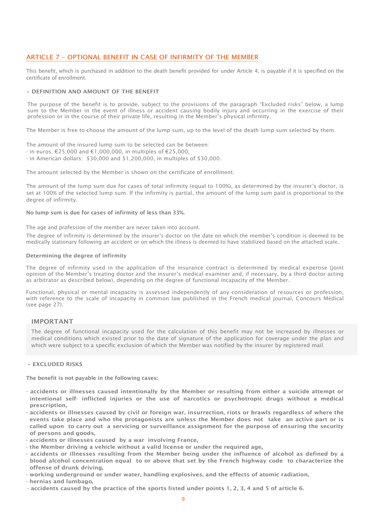# <span id="page-9-0"></span>ARTICLE 7 – OPTIONAL BENEFIT IN CASE OF INFIRMITY OF THE MEMBER

This benefit, which is purchased in addition to the death benefit provided for under Article 4, is payable if it is specified on the certificate of enrollment.

#### • DEFINITION AND AMOUNT OF THE BENEFIT

The purpose of the benefit is to provide, subject to the provisions of the paragraph "Excluded risks" below, a lump sum to the Member in the event of illness or accident causing bodily injury and occurring in the exercise of their profession or in the course of their private life, resulting in the Member's physical infirmity.

The Member is free to choose the amount of the lump sum, up to the level of the death lump sum selected by them.

The amount of the insured lump sum to be selected can be between:

- in euros: €25,000 and €1,000,000, in multiples of €25,000,
- in American dollars: \$30,000 and \$1,200,000, in multiples of \$30,000.

The amount selected by the Member is shown on the certificate of enrollment.

The amount of the lump sum due for cases of total infirmity (equal to 100%), as determined by the insurer's doctor, is set at 100% of the selected lump sum. If the infirmity is partial, the amount of the lump sum paid is proportional to the degree of infirmity.

No lump sum is due for cases of infirmity of less than 33%.

The age and profession of the member are never taken into account.

The degree of infirmity is determined by the insurer's doctor on the date on which the member's condition is deemed to be medically stationary following an accident or on which the illness is deemed to have stabilized based on the attached scale.

#### Determining the degree of infirmity

The degree of infirmity used in the application of the insurance contract is determined by medical expertise (joint opinion of the Member's treating doctor and the insurer's medical examiner and, if necessary, by a third doctor acting as arbitrator as described below), depending on the degree of functional incapacity of the Member.

Functional, physical or mental incapacity is assessed independently of any consideration of resources or profession, with reference to the scale of incapacity in common law published in the French medical journal, Concours Médical (see page 27).

#### IMPORTANT

The degree of functional incapacity used for the calculation of this benefit may not be increased by illnesses or medical conditions which existed prior to the date of signature of the application for coverage under the plan and which were subject to a specific exclusion of which the Member was notified by the insurer by registered mail.

#### • EXCLUDED RISKS

The benefit is not payable in the following cases:

- accidents or illnesses caused intentionally by the Member or resulting from either a suicide attempt or intentional self- inflicted injuries or the use of narcotics or psychotropic drugs without a medical prescription,
- accidents or illnesses caused by civil or foreign war, insurrection, riots or brawls regardless of where the events take place and who the protagonists are unless the Member does not take an active part or is called upon to carry out a servicing or surveillance assignment for the purpose of ensuring the security of persons and goods,
- accidents or illnesses caused by a war involving France,
- the Member driving a vehicle without a valid license or under the required age,
- accidents or illnesses resulting from the Member being under the influence of alcohol as defined by a blood alcohol concentration equal to or above that set by the French highway code to characterize the offense of drunk driving,
- working underground or under water, handling explosives, and the effects of atomic radiation,
- hernias and lumbago,
- accidents caused by the practice of the sports listed under points 1, 2, 3, 4 and 5 of article 6.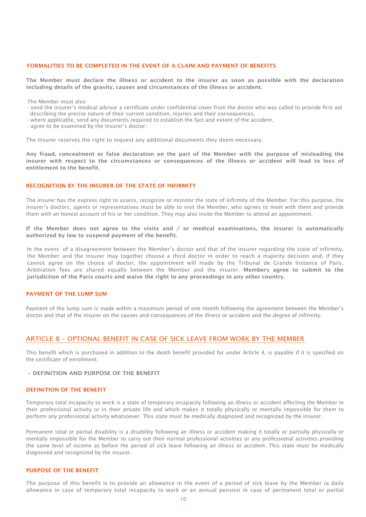#### FORMALITIES TO BE COMPLETED IN THE EVENT OF A CLAIM AND PAYMENT OF BENEFITS

The Member must declare the illness or accident to the insurer as soon as possible with the declaration including details of the gravity, causes and circumstances of the illness or accident.

The Member must also:

- send the insurer's medical advisor a certificate under confidential cover from the doctor who was called to provide first aid describing the precise nature of their current condition, injuries and their consequences,
- where applicable, send any documents required to establish the fact and extent of the accident,

- agree to be examined by the insurer's doctor.

The insurer reserves the right to request any additional documents they deem necessary.

Any fraud, concealment or false declaration on the part of the Member with the purpose of misleading the insurer with respect to the circumstances or consequences of the illness or accident will lead to loss of entitlement to the benefit.

#### RECOGNITION BY THE INSURER OF THE STATE OF INFIRMITY

The insurer has the express right to assess, recognize or monitor the state of infirmity of the Member. For this purpose, the insurer's doctors, agents or representatives must be able to visit the Member, who agrees to meet with them and provide them with an honest account of his or her condition. They may also invite the Member to attend an appointment.

If the Member does not agree to the visits and / or medical examinations, the insurer is automatically authorized by law to suspend payment of the benefit.

In the event of a disagreement between the Member's doctor and that of the insurer regarding the state of infirmity, the Member and the insurer may together choose a third doctor in order to reach a majority decision and, if they cannot agree on the choice of doctor, the appointment will made by the Tribunal de Grande Instance of Paris. Arbitration fees are shared equally between the Member and the insurer. Members agree to submit to the jurisdiction of the Paris courts and waive the right to any proceedings in any other country.

#### PAYMENT OF THE LUMP SUM

Payment of the lump sum is made within a maximum period of one month following the agreement between the Member's doctor and that of the insurer on the causes and consequences of the illness or accident and the degree of infirmity.

# <span id="page-10-0"></span>ARTICLE 8 – OPTIONAL BENEFIT IN CASE OF SICK LEAVE FROM WORK BY THE MEMBER

This benefit which is purchased in addition to the death benefit provided for under Article 4, is payable if it is specified on the certificate of enrollment.

• DEFINITION AND PURPOSE OF THE BENEFIT

#### DEFINITION OF THE BENEFIT

Temporary total incapacity to work is a state of temporary incapacity following an illness or accident affecting the Member in their professional activity or in their private life and which makes it totally physically or mentally impossible for them to perform any professional activity whatsoever. This state must be medically diagnosed and recognized by the insurer.

Permanent total or partial disability is a disability following an illness or accident making it totally or partially physically or mentally impossible for the Member to carry out their normal professional activities or any professional activities providing the same level of income as before the period of sick leave following an illness or accident. This state must be medically diagnosed and recognized by the insurer.

#### PURPOSE OF THE BENEFIT

The purpose of this benefit is to provide an allowance in the event of a period of sick leave by the Member (a daily allowance in case of temporary total incapacity to work or an annual pension in case of permanent total or partial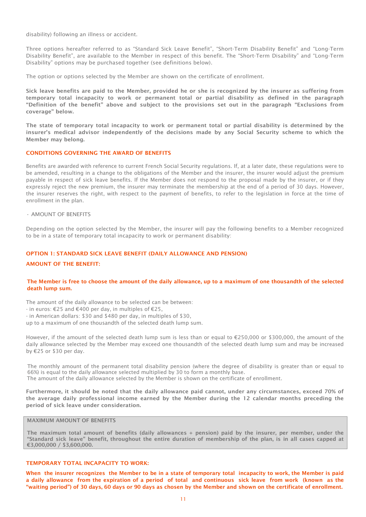disability) following an illness or accident.

Three options hereafter referred to as "Standard Sick Leave Benefit", "Short-Term Disability Benefit" and "Long-Term Disability Benefit", are available to the Member in respect of this benefit. The "Short-Term Disability" and "Long-Term Disability" options may be purchased together (see definitions below).

The option or options selected by the Member are shown on the certificate of enrollment.

Sick leave benefits are paid to the Member, provided he or she is recognized by the insurer as suffering from temporary total incapacity to work or permanent total or partial disability as defined in the paragraph "Definition of the benefit" above and subject to the provisions set out in the paragraph "Exclusions from coverage" below.

The state of temporary total incapacity to work or permanent total or partial disability is determined by the insurer's medical advisor independently of the decisions made by any Social Security scheme to which the Member may belong.

#### CONDITIONS GOVERNING THE AWARD OF BENEFITS

Benefits are awarded with reference to current French Social Security regulations. If, at a later date, these regulations were to be amended, resulting in a change to the obligations of the Member and the insurer, the insurer would adjust the premium payable in respect of sick leave benefits. If the Member does not respond to the proposal made by the insurer, or if they expressly reject the new premium, the insurer may terminate the membership at the end of a period of 30 days. However, the insurer reserves the right, with respect to the payment of benefits, to refer to the legislation in force at the time of enrollment in the plan.

• AMOUNT OF BENEFITS

Depending on the option selected by the Member, the insurer will pay the following benefits to a Member recognized to be in a state of temporary total incapacity to work or permanent disability:

#### OPTION 1: STANDARD SICK LEAVE BENEFIT (DAILY ALLOWANCE AND PENSION)

#### AMOUNT OF THE BENEFIT:

#### The Member is free to choose the amount of the daily allowance, up to a maximum of one thousandth of the selected death lump sum.

The amount of the daily allowance to be selected can be between:

- in euros: €25 and €400 per day, in multiples of €25,

- in American dollars: \$30 and \$480 per day, in multiples of \$30,

up to a maximum of one thousandth of the selected death lump sum.

However, if the amount of the selected death lump sum is less than or equal to €250,000 or \$300,000, the amount of the daily allowance selected by the Member may exceed one thousandth of the selected death lump sum and may be increased by €25 or \$30 per day.

The monthly amount of the permanent total disability pension (where the degree of disability is greater than or equal to 66%) is equal to the daily allowance selected multiplied by 30 to form a monthly base. The amount of the daily allowance selected by the Member is shown on the certificate of enrollment.

Furthermore, it should be noted that the daily allowance paid cannot, under any circumstances, exceed 70% of the average daily professional income earned by the Member during the 12 calendar months preceding the period of sick leave under consideration.

# MAXIMUM AMOUNT OF BENEFITS

The maximum total amount of benefits (daily allowances + pension) paid by the insurer, per member, under the "Standard sick leave" benefit, throughout the entire duration of membership of the plan, is in all cases capped at €3,000,000 / \$3,600,000.

# TEMPORARY TOTAL INCAPACITY TO WORK:

When the insurer recognizes the Member to be in a state of temporary total incapacity to work, the Member is paid a daily allowance from the expiration of a period of total and continuous sick leave from work (known as the "waiting period") of 30 days, 60 days or 90 days as chosen by the Member and shown on the certificate of enrollment.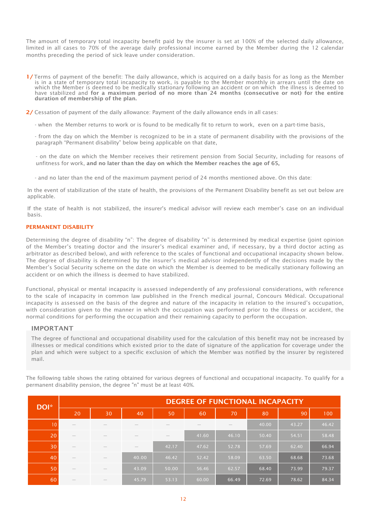The amount of temporary total incapacity benefit paid by the insurer is set at 100% of the selected daily allowance, limited in all cases to 70% of the average daily professional income earned by the Member during the 12 calendar months preceding the period of sick leave under consideration.

1/ Terms of payment of the benefit: The daily allowance, which is acquired on a daily basis for as long as the Member is in a state of temporary total incapacity to work, is payable to the Member monthly in arrears until the date on which the Member is deemed to be medically stationary following an accident or on which the illness is deemed to have stabilized and for a maximum period of no more than 24 months (consecutive or not) for the entire duration of membership of the plan.

2/ Cessation of payment of the daily allowance: Payment of the daily allowance ends in all cases:

- when the Member returns to work or is found to be medically fit to return to work, even on a part-time basis,
- from the day on which the Member is recognized to be in a state of permanent disability with the provisions of the paragraph "Permanent disability" below being applicable on that date,
- on the date on which the Member receives their retirement pension from Social Security, including for reasons of unfitness for work, and no later than the day on which the Member reaches the age of 65,
- and no later than the end of the maximum payment period of 24 months mentioned above. On this date:

In the event of stabilization of the state of health, the provisions of the Permanent Disability benefit as set out below are applicable.

If the state of health is not stabilized, the insurer's medical advisor will review each member's case on an individual basis.

#### PERMANENT DISABILITY

Determining the degree of disability "n": The degree of disability "n" is determined by medical expertise (joint opinion of the Member's treating doctor and the insurer's medical examiner and, if necessary, by a third doctor acting as arbitrator as described below), and with reference to the scales of functional and occupational incapacity shown below. The degree of disability is determined by the insurer's medical advisor independently of the decisions made by the Member's Social Security scheme on the date on which the Member is deemed to be medically stationary following an accident or on which the illness is deemed to have stabilized.

Functional, physical or mental incapacity is assessed independently of any professional considerations, with reference to the scale of incapacity in common law published in the French medical journal, Concours Médical. Occupational incapacity is assessed on the basis of the degree and nature of the incapacity in relation to the insured's occupation, with consideration given to the manner in which the occupation was performed prior to the illness or accident, the normal conditions for performing the occupation and their remaining capacity to perform the occupation.

## IMPORTANT

The degree of functional and occupational disability used for the calculation of this benefit may not be increased by illnesses or medical conditions which existed prior to the date of signature of the application for coverage under the plan and which were subject to a specific exclusion of which the Member was notified by the insurer by registered mail.

The following table shows the rating obtained for various degrees of functional and occupational incapacity. To qualify for a permanent disability pension, the degree "n" must be at least 40%.

| DOI* | <b>DEGREE OF FUNCTIONAL INCAPACITY</b> |    |       |       |       |       |       |       |       |
|------|----------------------------------------|----|-------|-------|-------|-------|-------|-------|-------|
|      | 20                                     | 30 | 40    | 50    | 60    | 70    | 80    | 90    | 100   |
| 10   |                                        |    |       |       |       |       | 40.00 | 43.27 | 46.42 |
| 20   |                                        |    |       |       | 41.60 | 46.10 | 50.40 | 54.51 | 58.48 |
| 30   | $\hspace{0.1mm}-\hspace{0.1mm}$        |    | _     | 42.17 | 47.62 | 52.78 | 57.69 | 62.40 | 66.94 |
| 40   | $\hspace{0.1mm}-\hspace{0.1mm}$        |    | 40.00 | 46.42 | 52.42 | 58.09 | 63.50 | 68.68 | 73.68 |
| 50   | $\hspace{0.1mm}-\hspace{0.1mm}$        |    | 43.09 | 50.00 | 56.46 | 62.57 | 68.40 | 73.99 | 79.37 |
| 60   |                                        |    | 45.79 | 53.13 | 60.00 | 66.49 | 72.69 | 78.62 | 84.34 |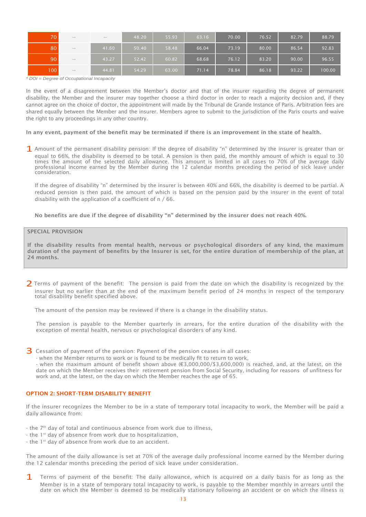| 70  | $\hspace{0.1mm}-\hspace{0.1mm}$                                                                                                                                                                                                                                                                                                                                                                         | $\hspace{0.1mm}-\hspace{0.1mm}$ | 48.20 | 55.93 | 63.16 | 70.00 | 76.52 | 82.79 | 88.79  |
|-----|---------------------------------------------------------------------------------------------------------------------------------------------------------------------------------------------------------------------------------------------------------------------------------------------------------------------------------------------------------------------------------------------------------|---------------------------------|-------|-------|-------|-------|-------|-------|--------|
| 80  | $\hspace{1.0cm} \overline{\hspace{1.0cm} \hspace{1.0cm} \hspace{1.0cm} } \hspace{1.0cm} \hspace{1.0cm} \overline{\hspace{1.0cm} \hspace{1.0cm} \hspace{1.0cm} } \hspace{1.0cm} \hspace{1.0cm} \overline{\hspace{1.0cm} \hspace{1.0cm} \hspace{1.0cm} } \hspace{1.0cm} \hspace{1.0cm} \overline{\hspace{1.0cm} \hspace{1.0cm} \hspace{1.0cm} } \hspace{1.0cm} \hspace{1.0cm} \hspace{1.0cm} } \hspace{1$ | 41.60                           | 50.40 | 58.48 | 66.04 | 73.19 | 80.00 | 86.54 | 92.83  |
| 90  | $\hspace{1.0cm} \overline{\hspace{1.0cm} \hspace{1.0cm} \hspace{1.0cm} } \hspace{1.0cm} \hspace{1.0cm} \overline{\hspace{1.0cm} \hspace{1.0cm} \hspace{1.0cm} } \hspace{1.0cm} \hspace{1.0cm} \overline{\hspace{1.0cm} \hspace{1.0cm} \hspace{1.0cm} } \hspace{1.0cm} \hspace{1.0cm} \overline{\hspace{1.0cm} \hspace{1.0cm} \hspace{1.0cm} } \hspace{1.0cm} \hspace{1.0cm} \hspace{1.0cm} } \hspace{1$ | 43.27                           | 52.42 | 60.82 | 68.68 | 76.12 | 83.20 | 90.00 | 96.55  |
| 100 | $\hspace{0.1mm}-\hspace{0.1mm}$                                                                                                                                                                                                                                                                                                                                                                         | 44.81                           | 54.29 | 63.00 | 71.14 | 78.84 | 86.18 | 93.22 | 100.00 |

*\* DOI = Degree of Occupational Incapacity*

In the event of a disagreement between the Member's doctor and that of the insurer regarding the degree of permanent disability, the Member and the insurer may together choose a third doctor in order to reach a majority decision and, if they cannot agree on the choice of doctor, the appointment will made by the Tribunal de Grande Instance of Paris. Arbitration fees are shared equally between the Member and the insurer. Members agree to submit to the jurisdiction of the Paris courts and waive the right to any proceedings in any other country.

In any event, payment of the benefit may be terminated if there is an improvement in the state of health.

1 Amount of the permanent disability pension: If the degree of disability "n" determined by the insurer is greater than or equal to 66%, the disability is deemed to be total. A pension is then paid, the monthly amount of which is equal to 30 times the amount of the selected daily allowance. This amount is limited in all cases to 70% of the average daily professional income earned by the Member during the 12 calendar months preceding the period of sick leave under consideration.

If the degree of disability "n" determined by the insurer is between 40% and 66%, the disability is deemed to be partial. A reduced pension is then paid, the amount of which is based on the pension paid by the insurer in the event of total disability with the application of a coefficient of n / 66.

No benefits are due if the degree of disability "n" determined by the insurer does not reach 40%.

# SPECIAL PROVISION

If the disability results from mental health, nervous or psychological disorders of any kind, the maximum duration of the payment of benefits by the Insurer is set, for the entire duration of membership of the plan, at 24 months.

2 Terms of payment of the benefit: The pension is paid from the date on which the disability is recognized by the insurer but no earlier than at the end of the maximum benefit period of 24 months in respect of the temporary total disability benefit specified above.

The amount of the pension may be reviewed if there is a change in the disability status.

The pension is payable to the Member quarterly in arrears, for the entire duration of the disability with the exception of mental health, nervous or psychological disorders of any kind.

- 3 Cessation of payment of the pension: Payment of the pension ceases in all cases:
	- when the Member returns to work or is found to be medically fit to return to work,

- when the maximum amount of benefit shown above (€3,000,000/\$3,600,000) is reached, and, at the latest, on the date on which the Member receives their retirement pension from Social Security, including for reasons of unfitness for work and, at the latest, on the day on which the Member reaches the age of 65.

# OPTION 2: SHORT-TERM DISABILITY BENEFIT

If the insurer recognizes the Member to be in a state of temporary total incapacity to work, the Member will be paid a daily allowance from:

- $-$  the  $7<sup>th</sup>$  day of total and continuous absence from work due to illness,
- the 1<sup>st</sup> day of absence from work due to hospitalization,
- the 1<sup>st</sup> day of absence from work due to an accident.

The amount of the daily allowance is set at 70% of the average daily professional income earned by the Member during the 12 calendar months preceding the period of sick leave under consideration.

1 Terms of payment of the benefit: The daily allowance, which is acquired on a daily basis for as long as the Member is in a state of temporary total incapacity to work, is payable to the Member monthly in arrears until the date on which the Member is deemed to be medically stationary following an accident or on which the illness is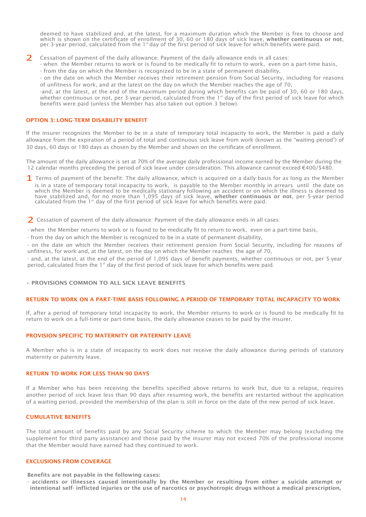deemed to have stabilized and, at the latest, for a maximum duration which the Member is free to choose and which is shown on the certificate of enrollment of 30, 60 or 180 days of sick leave, whether continuous or not, per 3-year period, calculated from the 1<sup>st</sup> day of the first period of sick leave for which benefits were paid.

2 Cessation of payment of the daily allowance: Payment of the daily allowance ends in all cases:

- when the Member returns to work or is found to be medically fit to return to work, even on a part-time basis,

- from the day on which the Member is recognized to be in a state of permanent disability,

- on the date on which the Member receives their retirement pension from Social Security, including for reasons of unfitness for work, and at the latest on the day on which the Member reaches the age of 70,

-and, at the latest, at the end of the maximum period during which benefits can be paid of 30, 60 or 180 days, whether continuous or not, per 3-year period, calculated from the 1<sup>st</sup> day of the first period of sick leave for which benefits were paid (unless the Member has also taken out option 3 below).

#### OPTION 3: LONG-TERM DISABILITY BENEFIT

If the insurer recognizes the Member to be in a state of temporary total incapacity to work, the Member is paid a daily allowance from the expiration of a period of total and continuous sick leave from work (known as the "waiting period") of 30 days, 60 days or 180 days as chosen by the Member and shown on the certificate of enrollment.

The amount of the daily allowance is set at 70% of the average daily professional income earned by the Member during the 12 calendar months preceding the period of sick leave under consideration. This allowance cannot exceed €400/\$480.

1 Terms of payment of the benefit: The daily allowance, which is acquired on a daily basis for as long as the Member is in a state of temporary total incapacity to work, is payable to the Member monthly in arrears until the date on which the Member is deemed to be medically stationary following an accident or on which the illness is deemed to have stabilized and, for no more than 1,095 days of sick leave, whether continuous or not, per 5-year period calculated from the  $1<sup>st</sup>$  day of the first period of sick leave for which benefits were paid.

2 Cessation of payment of the daily allowance: Payment of the daily allowance ends in all cases:

- when the Member returns to work or is found to be medically fit to return to work, even on a part-time basis,

- from the day on which the Member is recognized to be in a state of permanent disability,

- on the date on which the Member receives their retirement pension from Social Security, including for reasons of unfitness, for work and, at the latest, on the day on which the Member reaches the age of 70,

and, at the latest, at the end of the period of 1,095 days of benefit payments, whether continuous or not, per 5-year period, calculated from the 1<sup>st</sup> day of the first period of sick leave for which benefits were paid.

#### • PROVISIONS COMMON TO ALL SICK LEAVE BENEFITS

#### RETURN TO WORK ON A PART-TIME BASIS FOLLOWING A PERIOD OF TEMPORARY TOTAL INCAPACITY TO WORK

If, after a period of temporary total incapacity to work, the Member returns to work or is found to be medically fit to return to work on a full-time or part-time basis, the daily allowance ceases to be paid by the insurer.

#### PROVISION SPECIFIC TO MATERNITY OR PATERNITY LEAVE

A Member who is in a state of incapacity to work does not receive the daily allowance during periods of statutory maternity or paternity leave.

#### RETURN TO WORK FOR LESS THAN 90 DAYS

If a Member who has been receiving the benefits specified above returns to work but, due to a relapse, requires another period of sick leave less than 90 days after resuming work, the benefits are restarted without the application of a waiting period, provided the membership of the plan is still in force on the date of the new period of sick leave.

#### CUMULATIVE BENEFITS

The total amount of benefits paid by any Social Security scheme to which the Member may belong (excluding the supplement for third party assistance) and those paid by the insurer may not exceed 70% of the professional income that the Member would have earned had they continued to work.

#### EXCLUSIONS FROM COVERAGE

Benefits are not payable in the following cases:

- accidents or illnesses caused intentionally by the Member or resulting from either a suicide attempt or intentional self- inflicted injuries or the use of narcotics or psychotropic drugs without a medical prescription,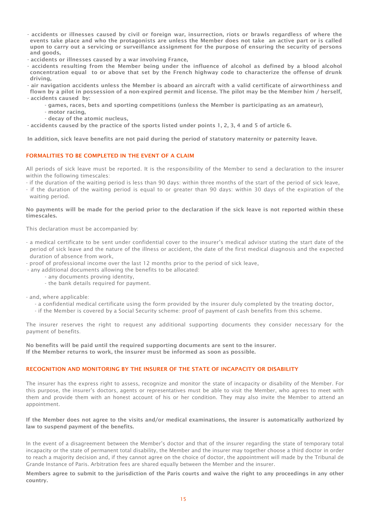- accidents or illnesses caused by civil or foreign war, insurrection, riots or brawls regardless of where the events take place and who the protagonists are unless the Member does not take an active part or is called upon to carry out a servicing or surveillance assignment for the purpose of ensuring the security of persons and goods,
- accidents or illnesses caused by a war involving France,
- accidents resulting from the Member being under the influence of alcohol as defined by a blood alcohol concentration equal to or above that set by the French highway code to characterize the offense of drunk driving,
- air navigation accidents unless the Member is aboard an aircraft with a valid certificate of airworthiness and flown by a pilot in possession of a non-expired permit and license. The pilot may be the Member him / herself, - accidents caused by:
	- games, races, bets and sporting competitions (unless the Member is participating as an amateur),
	- motor racing,
	- decay of the atomic nucleus,

- accidents caused by the practice of the sports listed under points 1, 2, 3, 4 and 5 of article 6.

In addition, sick leave benefits are not paid during the period of statutory maternity or paternity leave.

# FORMALITIES TO BE COMPLETED IN THE EVENT OF A CLAIM

All periods of sick leave must be reported. It is the responsibility of the Member to send a declaration to the insurer within the following timescales:

- if the duration of the waiting period is less than 90 days: within three months of the start of the period of sick leave,
- if the duration of the waiting period is equal to or greater than 90 days: within 30 days of the expiration of the waiting period.

#### No payments will be made for the period prior to the declaration if the sick leave is not reported within these timescales.

This declaration must be accompanied by:

- a medical certificate to be sent under confidential cover to the insurer's medical advisor stating the start date of the period of sick leave and the nature of the illness or accident, the date of the first medical diagnosis and the expected duration of absence from work,
- proof of professional income over the last 12 months prior to the period of sick leave,
- any additional documents allowing the benefits to be allocated:
	- any documents proving identity,
	- the bank details required for payment.

- and, where applicable:

- a confidential medical certificate using the form provided by the insurer duly completed by the treating doctor,
- if the Member is covered by a Social Security scheme: proof of payment of cash benefits from this scheme.

The insurer reserves the right to request any additional supporting documents they consider necessary for the payment of benefits.

No benefits will be paid until the required supporting documents are sent to the insurer. If the Member returns to work, the insurer must be informed as soon as possible.

#### RECOGNITION AND MONITORING BY THE INSURER OF THE STATE OF INCAPACITY OR DISABILITY

The insurer has the express right to assess, recognize and monitor the state of incapacity or disability of the Member. For this purpose, the insurer's doctors, agents or representatives must be able to visit the Member, who agrees to meet with them and provide them with an honest account of his or her condition. They may also invite the Member to attend an appointment.

If the Member does not agree to the visits and/or medical examinations, the insurer is automatically authorized by law to suspend payment of the benefits.

In the event of a disagreement between the Member's doctor and that of the insurer regarding the state of temporary total incapacity or the state of permanent total disability, the Member and the insurer may together choose a third doctor in order to reach a majority decision and, if they cannot agree on the choice of doctor, the appointment will made by the Tribunal de Grande Instance of Paris. Arbitration fees are shared equally between the Member and the insurer.

Members agree to submit to the jurisdiction of the Paris courts and waive the right to any proceedings in any other country.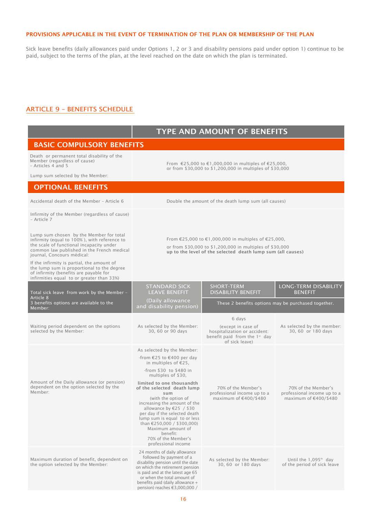#### PROVISIONS APPLICABLE IN THE EVENT OF TERMINATION OF THE PLAN OR MEMBERSHIP OF THE PLAN

Sick leave benefits (daily allowances paid under Options 1, 2 or 3 and disability pensions paid under option 1) continue to be paid, subject to the terms of the plan, at the level reached on the date on which the plan is terminated.

# <span id="page-16-0"></span>ARTICLE 9 – BENEFITS SCHEDULE

|                                                                                                                                                                                                                 | <b>TYPE AND AMOUNT OF BENEFITS</b>                                                                                                                                                                                                                           |                                                                                                                   |                                                                  |  |  |  |
|-----------------------------------------------------------------------------------------------------------------------------------------------------------------------------------------------------------------|--------------------------------------------------------------------------------------------------------------------------------------------------------------------------------------------------------------------------------------------------------------|-------------------------------------------------------------------------------------------------------------------|------------------------------------------------------------------|--|--|--|
| <b>BASIC COMPULSORY BENEFITS</b>                                                                                                                                                                                |                                                                                                                                                                                                                                                              |                                                                                                                   |                                                                  |  |  |  |
| Death or permanent total disability of the<br>Member (regardless of cause)<br>- Articles 4 and 5                                                                                                                | From €25,000 to €1,000,000 in multiples of €25,000,<br>or from \$30,000 to \$1,200,000 in multiples of \$30,000                                                                                                                                              |                                                                                                                   |                                                                  |  |  |  |
| Lump sum selected by the Member:                                                                                                                                                                                |                                                                                                                                                                                                                                                              |                                                                                                                   |                                                                  |  |  |  |
| <b>OPTIONAL BENEFITS</b>                                                                                                                                                                                        |                                                                                                                                                                                                                                                              |                                                                                                                   |                                                                  |  |  |  |
| Accidental death of the Member - Article 6                                                                                                                                                                      |                                                                                                                                                                                                                                                              | Double the amount of the death lump sum (all causes)                                                              |                                                                  |  |  |  |
| Infirmity of the Member (regardless of cause)<br>- Article 7                                                                                                                                                    |                                                                                                                                                                                                                                                              |                                                                                                                   |                                                                  |  |  |  |
| Lump sum chosen by the Member for total<br>infirmity (equal to 100%), with reference to<br>the scale of functional incapacity under<br>common law published in the French medical<br>journal, Concours médical: | From €25,000 to €1,000,000 in multiples of €25,000,<br>or from \$30,000 to \$1,200,000 in multiples of \$30,000<br>up to the level of the selected death lump sum (all causes)                                                                               |                                                                                                                   |                                                                  |  |  |  |
| If the infirmity is partial, the amount of<br>the lump sum is proportional to the degree<br>of infirmity (benefits are payable for<br>infirmities equal to or greater than 33%)                                 |                                                                                                                                                                                                                                                              |                                                                                                                   |                                                                  |  |  |  |
| Total sick leave from work by the Member -<br>Article 8                                                                                                                                                         | <b>STANDARD SICK</b><br><b>LEAVE BENEFIT</b>                                                                                                                                                                                                                 | <b>SHORT-TERM</b><br><b>DISABILITY BENEFIT</b>                                                                    | <b>LONG-TERM DISABILITY</b><br><b>BENEFIT</b>                    |  |  |  |
| 3 benefits options are available to the<br>Member:                                                                                                                                                              | (Daily allowance<br>and disability pension)                                                                                                                                                                                                                  | These 2 benefits options may be purchased together.                                                               |                                                                  |  |  |  |
|                                                                                                                                                                                                                 |                                                                                                                                                                                                                                                              | 6 days                                                                                                            |                                                                  |  |  |  |
| Waiting period dependent on the options<br>selected by the Member:                                                                                                                                              | As selected by the Member:<br>30, 60 or 90 days                                                                                                                                                                                                              | (except in case of<br>hospitalization or accident:<br>benefit paid from the 1 <sup>st</sup> day<br>of sick leave) | As selected by the member:<br>30, 60 or 180 days                 |  |  |  |
|                                                                                                                                                                                                                 | As selected by the Member:                                                                                                                                                                                                                                   |                                                                                                                   |                                                                  |  |  |  |
|                                                                                                                                                                                                                 | -from €25 to €400 per day<br>in multiples of $E$ 25,                                                                                                                                                                                                         |                                                                                                                   |                                                                  |  |  |  |
|                                                                                                                                                                                                                 | -from \$30 to \$480 in<br>multiples of \$30,                                                                                                                                                                                                                 |                                                                                                                   | 70% of the Member's<br>professional income up to a               |  |  |  |
| Amount of the Daily allowance (or pension)<br>dependent on the option selected by the<br>Member:                                                                                                                | limited to one thousandth<br>of the selected death lump<br>sum                                                                                                                                                                                               | 70% of the Member's<br>professional income up to a                                                                |                                                                  |  |  |  |
|                                                                                                                                                                                                                 | (with the option of<br>increasing the amount of the<br>allowance by €25 / \$30<br>per day if the selected death<br>lump sum is equal to or less<br>than $£250,000 / $300,000$<br>Maximum amount of<br>benefit:<br>70% of the Member's<br>professional income | maximum of €400/\$480                                                                                             | maximum of €400/\$480                                            |  |  |  |
| Maximum duration of benefit, dependent on<br>the option selected by the Member:                                                                                                                                 | 24 months of daily allowance<br>followed by payment of a<br>disability pension until the date<br>on which the retirement pension<br>is paid and at the latest age 65<br>or when the total amount of<br>benefits paid (daily allowance +                      | As selected by the Member:<br>30, 60 or 180 days                                                                  | Until the 1,095 <sup>th</sup> day<br>of the period of sick leave |  |  |  |

pension) reaches €3,000,000 /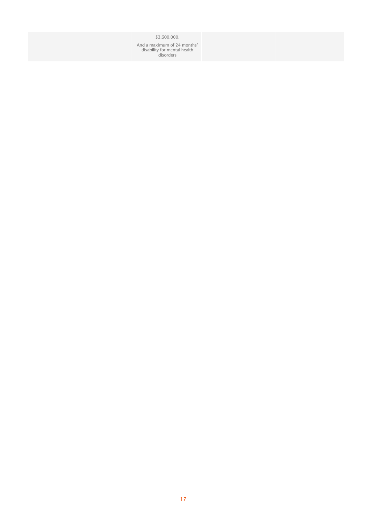\$3,600,000.

And a maximum of 24 months' disability for mental health disorders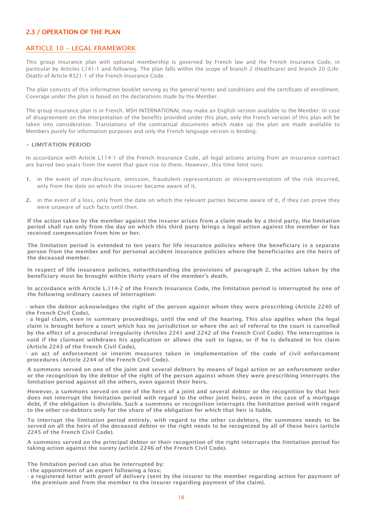# <span id="page-18-0"></span>2.3 / OPERATION OF THE PLAN

# <span id="page-18-1"></span>ARTICLE 10 – LEGAL FRAMEWORK

This group insurance plan with optional membership is governed by French law and the French Insurance Code, in particular by Articles L141-1 and following. The plan falls within the scope of branch 2 (Healthcare) and branch 20 (Life-Death) of Article R321-1 of the French Insurance Code.

The plan consists of this information booklet serving as the general terms and conditions and the certificate of enrollment. Coverage under the plan is based on the declarations made by the Member.

The group insurance plan is in French. MSH INTERNATIONAL may make an English version available to the Member. In case of disagreement on the interpretation of the benefits provided under this plan, only the French version of this plan will be taken into consideration. Translations of the contractual documents which make up the plan are made available to Members purely for information purposes and only the French language version is binding.

#### • LIMITATION PERIOD

In accordance with Article L114-1 of the French Insurance Code, all legal actions arising from an insurance contract are barred two years from the event that gave rise to them. However, this time limit runs:

- 1. in the event of non-disclosure, omission, fraudulent representation or misrepresentation of the risk incurred, only from the date on which the insurer became aware of it,
- 2. in the event of a loss, only from the date on which the relevant parties became aware of it, if they can prove they were unaware of such facts until then.

If the action taken by the member against the insurer arises from a claim made by a third party, the limitation period shall run only from the day on which this third party brings a legal action against the member or has received compensation from him or her.

The limitation period is extended to ten years for life insurance policies where the beneficiary is a separate person from the member and for personal accident insurance policies where the beneficiaries are the heirs of the deceased member.

In respect of life insurance policies, notwithstanding the provisions of paragraph 2, the action taken by the beneficiary must be brought within thirty years of the member's death.

In accordance with Article L.114-2 of the French Insurance Code, the limitation period is interrupted by one of the following ordinary causes of interruption:

- when the debtor acknowledges the right of the person against whom they were prescribing (Article 2240 of the French Civil Code),

- a legal claim, even in summary proceedings, until the end of the hearing. This also applies when the legal claim is brought before a court which has no jurisdiction or where the act of referral to the court is cancelled by the effect of a procedural irregularity (Articles 2241 and 2242 of the French Civil Code). The interruption is void if the claimant withdraws his application or allows the suit to lapse, or if he is defeated in his claim (Article 2243 of the French Civil Code),

- an act of enforcement or interim measures taken in implementation of the code of civil enforcement procedures (Article 2244 of the French Civil Code).

A summons served on one of the joint and several debtors by means of legal action or an enforcement order or the recognition by the debtor of the right of the person against whom they were prescribing interrupts the limitation period against all the others, even against their heirs.

However, a summons served on one of the heirs of a joint and several debtor or the recognition by that heir does not interrupt the limitation period with regard to the other joint heirs, even in the case of a mortgage debt, if the obligation is divisible. Such a summons or recognition interrupts the limitation period with regard to the other co-debtors only for the share of the obligation for which that heir is liable.

To interrupt the limitation period entirely, with regard to the other co-debtors, the summons needs to be served on all the heirs of the deceased debtor or the right needs to be recognized by all of these heirs (article 2245 of the French Civil Code).

A summons served on the principal debtor or their recognition of the right interrupts the limitation period for taking action against the surety (article 2246 of the French Civil Code).

The limitation period can also be interrupted by:

- the appointment of an expert following a loss;
- a registered letter with proof of delivery (sent by the insurer to the member regarding action for payment of the premium and from the member to the insurer regarding payment of the claim).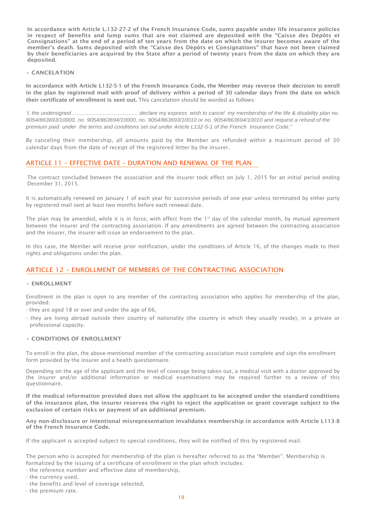In accordance with Article L.132-27-2 of the French Insurance Code, sums payable under life insurance policies in respect of benefits and lump sums that are not claimed are deposited with the "Caisse des Dépôts et Consignations" at the end of a period of ten years from the date on which the insurer becomes aware of the member's death. Sums deposited with the "Caisse des Dépôts et Consignations" that have not been claimed by their beneficiaries are acquired by the State after a period of twenty years from the date on which they are deposited.

# • CANCELATION

In accordance with Article L132-5-1 of the French Insurance Code, the Member may reverse their decision to enroll in the plan by registered mail with proof of delivery within a period of 30 calendar days from the date on which their certificate of enrollment is sent out. This cancelation should be worded as follows:

*'I, the undersigned ........................................... declare my express wish to cancel my membership of the life & disability plan no. 9054/863693/10000, no. 9054/863694/10000, no. 9054/863693/10010 or no. 9054/863694/10010 and request a refund of the premium paid under the terms and conditions set out under Article L132-5-1 of the French Insurance Code."*

By canceling their membership, all amounts paid by the Member are refunded within a maximum period of 30 calendar days from the date of receipt of the registered letter by the insurer.

# <span id="page-19-0"></span>ARTICLE 11 – EFFECTIVE DATE – DURATION AND RENEWAL OF THE PLAN

The contract concluded between the association and the insurer took effect on July 1, 2015 for an initial period ending December 31, 2015.

It is automatically renewed on January 1 of each year for successive periods of one year unless terminated by either party by registered mail sent at least two months before each renewal date.

The plan may be amended, while it is in force, with effect from the  $1<sup>st</sup>$  day of the calendar month, by mutual agreement between the insurer and the contracting association. If any amendments are agreed between the contracting association and the insurer, the insurer will issue an endorsement to the plan.

In this case, the Member will receive prior notification, under the conditions of Article 16, of the changes made to their rights and obligations under the plan.

# <span id="page-19-1"></span>ARTICLE 12 – ENROLLMENT OF MEMBERS OF THE CONTRACTING ASSOCIATION

# • ENROLLMENT

Enrollment in the plan is open to any member of the contracting association who applies for membership of the plan, provided:

- they are aged 18 or over and under the age of 66,
- they are living abroad outside their country of nationality (the country in which they usually reside), in a private or professional capacity.

# • CONDITIONS OF ENROLLMENT

To enroll in the plan, the above-mentioned member of the contracting association must complete and sign the enrollment form provided by the insurer and a health questionnaire.

Depending on the age of the applicant and the level of coverage being taken out, a medical visit with a doctor approved by the insurer and/or additional information or medical examinations may be required further to a review of this questionnaire.

If the medical information provided does not allow the applicant to be accepted under the standard conditions of the insurance plan, the insurer reserves the right to reject the application or grant coverage subject to the exclusion of certain risks or payment of an additional premium.

Any non-disclosure or intentional misrepresentation invalidates membership in accordance with Article L113-8 of the French Insurance Code.

If the applicant is accepted subject to special conditions, they will be notified of this by registered mail.

The person who is accepted for membership of the plan is hereafter referred to as the "Member". Membership is formalized by the issuing of a certificate of enrollment in the plan which includes:

- the reference number and effective date of membership,
- the currency used,
- the benefits and level of coverage selected,
- the premium rate.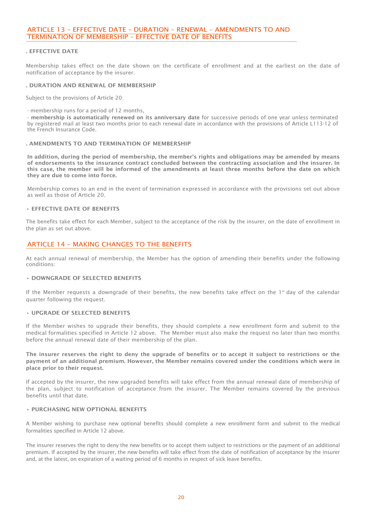# <span id="page-20-0"></span>ARTICLE 13 – EFFECTIVE DATE – DURATION – RENEWAL – AMENDMENTS TO AND TERMINATION OF MEMBERSHIP – EFFECTIVE DATE OF BENEFITS

#### . EFFECTIVE DATE

Membership takes effect on the date shown on the certificate of enrollment and at the earliest on the date of notification of acceptance by the insurer.

#### . DURATION AND RENEWAL OF MEMBERSHIP

Subject to the provisions of Article 20:

- membership runs for a period of 12 months,

- membership is automatically renewed on its anniversary date for successive periods of one year unless terminated by registered mail at least two months prior to each renewal date in accordance with the provisions of Article L113-12 of the French Insurance Code.

#### . AMENDMENTS TO AND TERMINATION OF MEMBERSHIP

In addition, during the period of membership, the member's rights and obligations may be amended by means of endorsements to the insurance contract concluded between the contracting association and the insurer. In this case, the member will be informed of the amendments at least three months before the date on which they are due to come into force.

Membership comes to an end in the event of termination expressed in accordance with the provisions set out above as well as those of Article 20.

#### • EFFECTIVE DATE OF BENEFITS

The benefits take effect for each Member, subject to the acceptance of the risk by the insurer, on the date of enrollment in the plan as set out above.

# <span id="page-20-1"></span>ARTICLE 14 – MAKING CHANGES TO THE BENEFITS

At each annual renewal of membership, the Member has the option of amending their benefits under the following conditions:

#### • DOWNGRADE OF SELECTED BENEFITS

If the Member requests a downgrade of their benefits, the new benefits take effect on the 1<sup>st</sup> day of the calendar quarter following the request.

#### • UPGRADE OF SELECTED BENEFITS

If the Member wishes to upgrade their benefits, they should complete a new enrollment form and submit to the medical formalities specified in Article 12 above. The Member must also make the request no later than two months before the annual renewal date of their membership of the plan.

The insurer reserves the right to deny the upgrade of benefits or to accept it subject to restrictions or the payment of an additional premium. However, the Member remains covered under the conditions which were in place prior to their request.

If accepted by the insurer, the new upgraded benefits will take effect from the annual renewal date of membership of the plan, subject to notification of acceptance from the insurer. The Member remains covered by the previous benefits until that date.

#### • PURCHASING NEW OPTIONAL BENEFITS

A Member wishing to purchase new optional benefits should complete a new enrollment form and submit to the medical formalities specified in Article 12 above.

The insurer reserves the right to deny the new benefits or to accept them subject to restrictions or the payment of an additional premium. If accepted by the insurer, the new benefits will take effect from the date of notification of acceptance by the insurer and, at the latest, on expiration of a waiting period of 6 months in respect of sick leave benefits.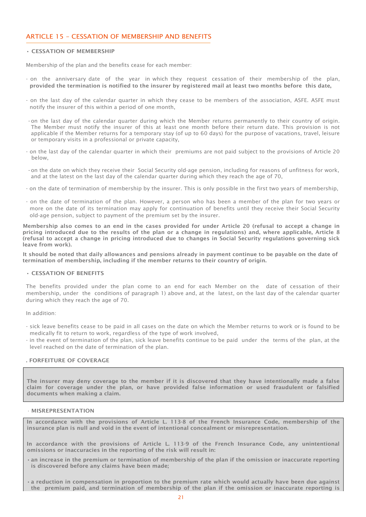# <span id="page-21-0"></span>ARTICLE 15 – CESSATION OF MEMBERSHIP AND BENEFITS

#### • CESSATION OF MEMBERSHIP

Membership of the plan and the benefits cease for each member:

- on the anniversary date of the year in which they request cessation of their membership of the plan, provided the termination is notified to the insurer by registered mail at least two months before this date,
- on the last day of the calendar quarter in which they cease to be members of the association, ASFE. ASFE must notify the insurer of this within a period of one month,
- -on the last day of the calendar quarter during which the Member returns permanently to their country of origin. The Member must notify the insurer of this at least one month before their return date. This provision is not applicable if the Member returns for a temporary stay (of up to 60 days) for the purpose of vacations, travel, leisure or temporary visits in a professional or private capacity,
- on the last day of the calendar quarter in which their premiums are not paid subject to the provisions of Article 20 below,
- -on the date on which they receive their Social Security old-age pension, including for reasons of unfitness for work, and at the latest on the last day of the calendar quarter during which they reach the age of 70,
- on the date of termination of membership by the insurer. This is only possible in the first two years of membership,
- on the date of termination of the plan. However, a person who has been a member of the plan for two years or more on the date of its termination may apply for continuation of benefits until they receive their Social Security old-age pension, subject to payment of the premium set by the insurer.

Membership also comes to an end in the cases provided for under Article 20 (refusal to accept a change in pricing introduced due to the results of the plan or a change in regulations) and, where applicable, Article 8 (refusal to accept a change in pricing introduced due to changes in Social Security regulations governing sick leave from work).

It should be noted that daily allowances and pensions already in payment continue to be payable on the date of termination of membership, including if the member returns to their country of origin.

#### • CESSATION OF BENEFITS

The benefits provided under the plan come to an end for each Member on the date of cessation of their membership, under the conditions of paragraph 1) above and, at the latest, on the last day of the calendar quarter during which they reach the age of 70.

In addition:

- sick leave benefits cease to be paid in all cases on the date on which the Member returns to work or is found to be medically fit to return to work, regardless of the type of work involved,
- in the event of termination of the plan, sick leave benefits continue to be paid under the terms of the plan, at the level reached on the date of termination of the plan.

# . FORFEITURE OF COVERAGE

The insurer may deny coverage to the member if it is discovered that they have intentionally made a false claim for coverage under the plan, or have provided false information or used fraudulent or falsified documents when making a claim.

#### • MISREPRESENTATION

In accordance with the provisions of Article L. 113-8 of the French Insurance Code, membership of the insurance plan is null and void in the event of intentional concealment or misrepresentation.

In accordance with the provisions of Article L. 113-9 of the French Insurance Code, any unintentional omissions or inaccuracies in the reporting of the risk will result in:

- •an increase in the premium or termination of membership of the plan if the omission or inaccurate reporting is discovered before any claims have been made;
- •a reduction in compensation in proportion to the premium rate which would actually have been due against the premium paid, and termination of membership of the plan if the omission or inaccurate reporting is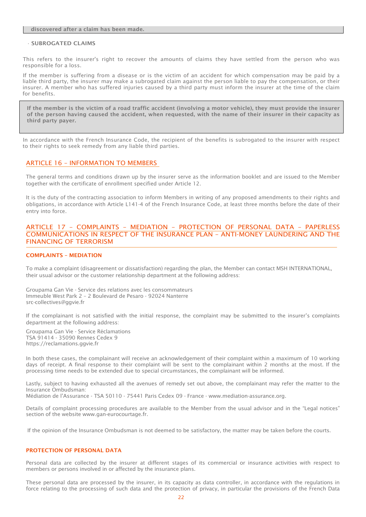#### discovered after a claim has been made.

#### • SUBROGATED CLAIMS

This refers to the insurer's right to recover the amounts of claims they have settled from the person who was responsible for a loss.

If the member is suffering from a disease or is the victim of an accident for which compensation may be paid by a liable third party, the insurer may make a subrogated claim against the person liable to pay the compensation, or their insurer. A member who has suffered injuries caused by a third party must inform the insurer at the time of the claim for benefits.

If the member is the victim of a road traffic accident (involving a motor vehicle), they must provide the insurer of the person having caused the accident, when requested, with the name of their insurer in their capacity as third party payer.

In accordance with the French Insurance Code, the recipient of the benefits is subrogated to the insurer with respect to their rights to seek remedy from any liable third parties.

#### <span id="page-22-0"></span>ARTICLE 16 – INFORMATION TO MEMBERS

The general terms and conditions drawn up by the insurer serve as the information booklet and are issued to the Member together with the certificate of enrollment specified under Article 12.

It is the duty of the contracting association to inform Members in writing of any proposed amendments to their rights and obligations, in accordance with Article L141-4 of the French Insurance Code, at least three months before the date of their entry into force.

# <span id="page-22-1"></span>ARTICLE 17 – COMPLAINTS – MEDIATION – PROTECTION OF PERSONAL DATA – PAPERLESS COMMUNICATIONS IN RESPECT OF THE INSURANCE PLAN – ANTI-MONEY LAUNDERING AND THE FINANCING OF TERRORISM

#### COMPLAINTS – MEDIATION

To make a complaint (disagreement or dissatisfaction) regarding the plan, the Member can contact MSH INTERNATIONAL, their usual advisor or the customer relationship department at the following address:

Groupama Gan Vie - Service des relations avec les consommateurs Immeuble West Park 2 – 2 Boulevard de Pesaro - 92024 Nanterre [src-collectives@ggvie.fr](mailto:src-collectives@ggvie.fr)

If the complainant is not satisfied with the initial response, the complaint may be submitted to the insurer's complaints department at the following address:

Groupama Gan Vie - Service Réclamations TSA 91414 - 35090 Rennes Cedex 9 [https://reclamations.ggvie.fr](https://reclamations.ggvie.fr/)

In both these cases, the complainant will receive an acknowledgement of their complaint within a maximum of 10 working days of receipt. A final response to their complaint will be sent to the complainant within 2 months at the most. If the processing time needs to be extended due to special circumstances, the complainant will be informed.

Lastly, subject to having exhausted all the avenues of remedy set out above, the complainant may refer the matter to the Insurance Ombudsman:

Médiation de l'Assurance - TSA 50110 - 75441 Paris Cedex 09 - France - www.mediation-assurance.org.

Details of complaint processing procedures are available to the Member from the usual advisor and in the "Legal notices" section of the website [www.gan-eurocourtage.fr.](http://www.gan-eurocourtage.fr/)

If the opinion of the Insurance Ombudsman is not deemed to be satisfactory, the matter may be taken before the courts.

#### PROTECTION OF PERSONAL DATA

Personal data are collected by the insurer at different stages of its commercial or insurance activities with respect to members or persons involved in or affected by the insurance plans.

These personal data are processed by the insurer, in its capacity as data controller, in accordance with the regulations in force relating to the processing of such data and the protection of privacy, in particular the provisions of the French Data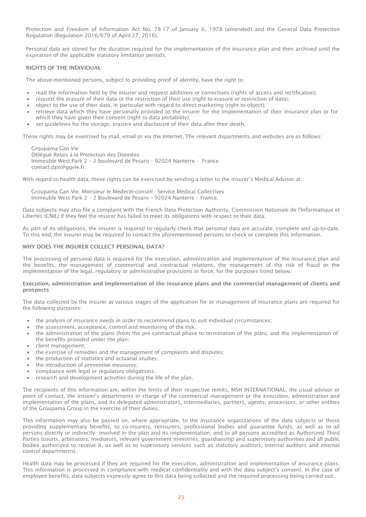Protection and Freedom of Information Act No. 78-17 of January 6, 1978 (amended) and the General Data Protection Regulation (Regulation 2016/679 of April 27, 2016).

Personal data are stored for the duration required for the implementation of the insurance plan and then archived until the expiration of the applicable statutory limitation periods.

#### RIGHTS OF THE INDIVIDUAL

The above-mentioned persons, subject to providing proof of identity, have the right to:

- read the information held by the insurer and request additions or corrections (rights of access and rectification);
- request the erasure of their data or the restriction of their use (right to erasure or restriction of data);
- object to the use of their data, in particular with regard to direct marketing (right to object);
- retrieve data which they have personally provided to the insurer for the implementation of their insurance plan or for which they have given their consent (right to data portability);
- set guidelines for the storage, erasure and disclosure of their data after their death.

These rights may be exercised by mail, email or via the Internet. The relevant departments and websites are as follows:

Groupama Gan Vie Délégué Relais à la Protection des Données Immeuble West Park 2 – 2 boulevard de Pesaro – 92024 Nanterre – France [contact.dpo@ggvie.fr.](mailto:contact.dpo@ggvie.fr)

With regard to health data, these rights can be exercised by sending a letter to the insurer's Medical Advisor at:

Groupama Gan Vie: Monsieur le Médecin-conseil - Service Médical Collectives Immeuble West Park 2 – 2 Boulevard de Pesaro – 92024 Nanterre – France.

Data subjects may also file a complaint with the French Data Protection Authority, Commission Nationale de l'Informatique et Libertés (CNIL) if they feel the insurer has failed to meet its obligations with respect to their data.

As part of its obligations, the insurer is required to regularly check that personal data are accurate, complete and up-to-date. To this end, the insurer may be required to contact the aforementioned persons to check or complete this information.

#### WHY DOES THE INSURER COLLECT PERSONAL DATA?

The processing of personal data is required for the execution, administration and implementation of the insurance plan and the benefits, the management of commercial and contractual relations, the management of the risk of fraud or the implementation of the legal, regulatory or administrative provisions in force, for the purposes listed below.

#### Execution, administration and implementation of the insurance plans and the commercial management of clients and prospects

The data collected by the insurer at various stages of the application for or management of insurance plans are required for the following purposes:

- the analysis of insurance needs in order to recommend plans to suit individual circumstances;
- the assessment, acceptance, control and monitoring of the risk;
- the administration of the plans (from the pre-contractual phase to termination of the plan), and the implementation of the benefits provided under the plan;
- client management;
- the exercise of remedies and the management of complaints and disputes;
- the production of statistics and actuarial studies;
- the introduction of preventive measures;
- compliance with legal or regulatory obligations;
- research and development activities during the life of the plan.

The recipients of this information are, within the limits of their respective remits, MSH INTERNATIONAL, the usual advisor or point of contact, the insurer's departments in charge of the commercial management or the execution, administration and implementation of the plans, and its delegated administrators, intermediaries, partners, agents, processors, or other entities of the Groupama Group in the exercise of their duties.

This information may also be passed on, where appropriate, to the insurance organizations of the data subjects or those providing supplementary benefits, to co-insurers, reinsurers, professional bodies and guarantee funds, as well as to all persons directly or indirectly involved in the plan and its implementation, and to all persons accredited as Authorized Third Parties (courts, arbitrators, mediators, relevant government ministries, guardianship and supervisory authorities and all public bodies authorized to receive it, as well as to supervisory services such as statutory auditors, internal auditors and internal control departments).

Health data may be processed if they are required for the execution, administration and implementation of insurance plans. This information is processed in compliance with medical confidentiality and with the data subject's consent. In the case of employee benefits, data subjects expressly agree to this data being collected and the required processing being carried out.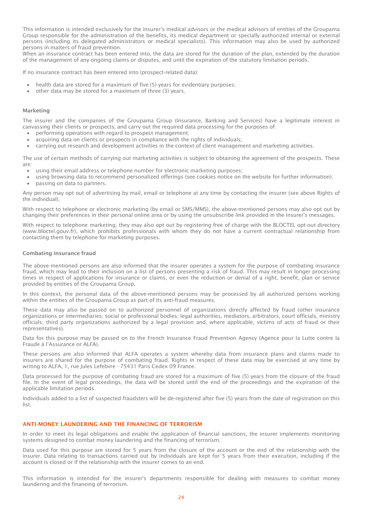This information is intended exclusively for the insurer's medical advisors or the medical advisors of entities of the Groupama Group responsible for the administration of the benefits, its medical department or specially authorized internal or external persons (including its delegated administrators or medical specialists). This information may also be used by authorized persons in matters of fraud prevention.

When an insurance contract has been entered into, the data are stored for the duration of the plan, extended by the duration of the management of any ongoing claims or disputes, and until the expiration of the statutory limitation periods.

If no insurance contract has been entered into (prospect-related data):

- health data are stored for a maximum of five (5) years for evidentiary purposes;
- other data may be stored for a maximum of three (3) years.

#### Marketing

The insurer and the companies of the Groupama Group (Insurance, Banking and Services) have a legitimate interest in canvassing their clients or prospects, and carry out the required data processing for the purposes of:

- performing operations with regard to prospect management;
- acquiring data on clients or prospects in compliance with the rights of individuals;
- carrying out research and development activities in the context of client management and marketing activities.

The use of certain methods of carrying out marketing activities is subject to obtaining the agreement of the prospects. These are:

- using their email address or telephone number for electronic marketing purposes;
- using browsing data to recommend personalized offerings (see cookies notice on the website for further information);
- passing on data to partners.

Any person may opt out of advertising by mail, email or telephone at any time by contacting the insurer (see above Rights of the individual).

With respect to telephone or electronic marketing (by email or SMS/MMS), the above-mentioned persons may also opt out by changing their preferences in their personal online area or by using the unsubscribe link provided in the insurer's messages.

With respect to telephone marketing, they may also opt out by registering free of charge with the BLOCTEL opt-out directory (www.bloctel.gouv.fr), which prohibits professionals with whom they do not have a current contractual relationship from contacting them by telephone for marketing purposes.

#### Combating insurance fraud

The above-mentioned persons are also informed that the insurer operates a system for the purpose of combating insurance fraud, which may lead to their inclusion on a list of persons presenting a risk of fraud. This may result in longer processing times in respect of applications for insurance or claims, or even the reduction or denial of a right, benefit, plan or service provided by entities of the Groupama Group.

In this context, the personal data of the above-mentioned persons may be processed by all authorized persons working within the entities of the Groupama Group as part of its anti-fraud measures.

These data may also be passed on to authorized personnel of organizations directly affected by fraud (other insurance organizations or intermediaries; social or professional bodies; legal authorities, mediators, arbitrators, court officials, ministry officials; third party organizations authorized by a legal provision and, where applicable, victims of acts of fraud or their representatives).

Data for this purpose may be passed on to the French Insurance Fraud Prevention Agency (Agence pour la Lutte contre la Fraude à l'Assurance or ALFA).

These persons are also informed that ALFA operates a system whereby data from insurance plans and claims made to insurers are shared for the purpose of combating fraud. Rights in respect of these data may be exercised at any time by writing to ALFA, 1, rue Jules Lefebvre - 75431 Paris Cedex 09 France.

Data processed for the purpose of combating fraud are stored for a maximum of five (5) years from the closure of the fraud file. In the event of legal proceedings, the data will be stored until the end of the proceedings and the expiration of the applicable limitation periods.

Individuals added to a list of suspected fraudsters will be de-registered after five (5) years from the date of registration on this list.

#### ANTI-MONEY LAUNDERING AND THE FINANCING OF TERRORISM

In order to meet its legal obligations and enable the application of financial sanctions, the insurer implements monitoring systems designed to combat money laundering and the financing of terrorism.

Data used for this purpose are stored for 5 years from the closure of the account or the end of the relationship with the insurer. Data relating to transactions carried out by individuals are kept for 5 years from their execution, including if the account is closed or if the relationship with the insurer comes to an end.

This information is intended for the insurer's departments responsible for dealing with measures to combat money laundering and the financing of terrorism.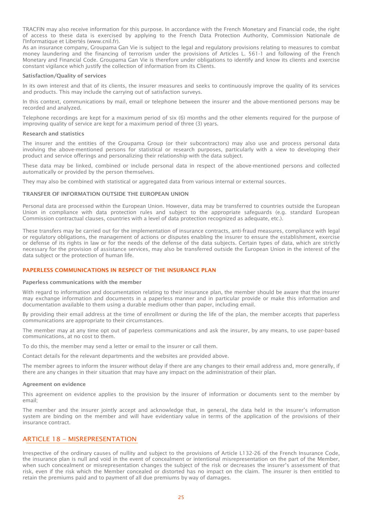TRACFIN may also receive information for this purpose. In accordance with the French Monetary and Financial code, the right of access to these data is exercised by applying to the French Data Protection Authority, Commission Nationale de l'Informatique et Libertés (www.cnil.fr).

As an insurance company, Groupama Gan Vie is subject to the legal and regulatory provisions relating to measures to combat money laundering and the financing of terrorism under the provisions of Articles L. 561-1 and following of the French Monetary and Financial Code. Groupama Gan Vie is therefore under obligations to identify and know its clients and exercise constant vigilance which justify the collection of information from its Clients.

#### Satisfaction/Quality of services

In its own interest and that of its clients, the insurer measures and seeks to continuously improve the quality of its services and products. This may include the carrying out of satisfaction surveys.

In this context, communications by mail, email or telephone between the insurer and the above-mentioned persons may be recorded and analyzed.

Telephone recordings are kept for a maximum period of six (6) months and the other elements required for the purpose of improving quality of service are kept for a maximum period of three (3) years.

#### Research and statistics

The insurer and the entities of the Groupama Group (or their subcontractors) may also use and process personal data involving the above-mentioned persons for statistical or research purposes, particularly with a view to developing their product and service offerings and personalizing their relationship with the data subject.

These data may be linked, combined or include personal data in respect of the above-mentioned persons and collected automatically or provided by the person themselves.

They may also be combined with statistical or aggregated data from various internal or external sources.

#### TRANSFER OF INFORMATION OUTSIDE THE EUROPEAN UNION

Personal data are processed within the European Union. However, data may be transferred to countries outside the European Union in compliance with data protection rules and subject to the appropriate safeguards (e.g. standard European Commission contractual clauses, countries with a level of data protection recognized as adequate, etc.).

These transfers may be carried out for the implementation of insurance contracts, anti-fraud measures, compliance with legal or regulatory obligations, the management of actions or disputes enabling the insurer to ensure the establishment, exercise or defense of its rights in law or for the needs of the defense of the data subjects. Certain types of data, which are strictly necessary for the provision of assistance services, may also be transferred outside the European Union in the interest of the data subject or the protection of human life.

# PAPERLESS COMMUNICATIONS IN RESPECT OF THE INSURANCE PLAN

#### Paperless communications with the member

With regard to information and documentation relating to their insurance plan, the member should be aware that the insurer may exchange information and documents in a paperless manner and in particular provide or make this information and documentation available to them using a durable medium other than paper, including email.

By providing their email address at the time of enrollment or during the life of the plan, the member accepts that paperless communications are appropriate to their circumstances.

The member may at any time opt out of paperless communications and ask the insurer, by any means, to use paper-based communications, at no cost to them.

To do this, the member may send a letter or email to the insurer or call them.

Contact details for the relevant departments and the websites are provided above.

The member agrees to inform the insurer without delay if there are any changes to their email address and, more generally, if there are any changes in their situation that may have any impact on the administration of their plan.

#### Agreement on evidence

This agreement on evidence applies to the provision by the insurer of information or documents sent to the member by email;

The member and the insurer jointly accept and acknowledge that, in general, the data held in the insurer's information system are binding on the member and will have evidentiary value in terms of the application of the provisions of their insurance contract.

# <span id="page-25-0"></span>ARTICLE 18 – MISREPRESENTATION

Irrespective of the ordinary causes of nullity and subject to the provisions of Article L132-26 of the French Insurance Code, the insurance plan is null and void in the event of concealment or intentional misrepresentation on the part of the Member, when such concealment or misrepresentation changes the subject of the risk or decreases the insurer's assessment of that risk, even if the risk which the Member concealed or distorted has no impact on the claim. The insurer is then entitled to retain the premiums paid and to payment of all due premiums by way of damages.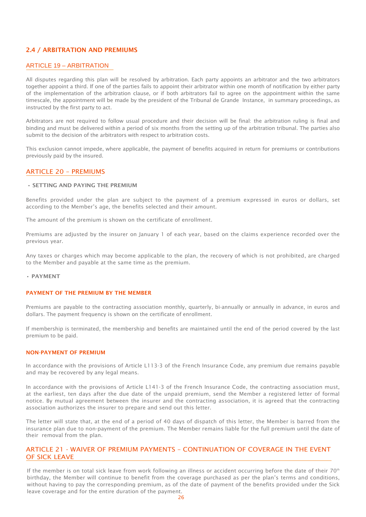# <span id="page-26-0"></span>2.4 / ARBITRATION AND PREMIUMS

# <span id="page-26-1"></span>ARTICLE 19 – ARBITRATION

All disputes regarding this plan will be resolved by arbitration. Each party appoints an arbitrator and the two arbitrators together appoint a third. If one of the parties fails to appoint their arbitrator within one month of notification by either party of the implementation of the arbitration clause, or if both arbitrators fail to agree on the appointment within the same timescale, the appointment will be made by the president of the Tribunal de Grande Instance, in summary proceedings, as instructed by the first party to act.

Arbitrators are not required to follow usual procedure and their decision will be final: the arbitration ruling is final and binding and must be delivered within a period of six months from the setting up of the arbitration tribunal. The parties also submit to the decision of the arbitrators with respect to arbitration costs.

This exclusion cannot impede, where applicable, the payment of benefits acquired in return for premiums or contributions previously paid by the insured.

# <span id="page-26-2"></span>ARTICLE 20 – PREMIUMS

# • SETTING AND PAYING THE PREMIUM

Benefits provided under the plan are subject to the payment of a premium expressed in euros or dollars, set according to the Member's age, the benefits selected and their amount.

The amount of the premium is shown on the certificate of enrollment.

Premiums are adjusted by the insurer on January 1 of each year, based on the claims experience recorded over the previous year.

Any taxes or charges which may become applicable to the plan, the recovery of which is not prohibited, are charged to the Member and payable at the same time as the premium.

#### • PAYMENT

# PAYMENT OF THE PREMIUM BY THE MEMBER

Premiums are payable to the contracting association monthly, quarterly, bi-annually or annually in advance, in euros and dollars. The payment frequency is shown on the certificate of enrollment.

If membership is terminated, the membership and benefits are maintained until the end of the period covered by the last premium to be paid.

# NON-PAYMENT OF PREMIUM

In accordance with the provisions of Article L113-3 of the French Insurance Code, any premium due remains payable and may be recovered by any legal means.

In accordance with the provisions of Article L141-3 of the French Insurance Code, the contracting association must, at the earliest, ten days after the due date of the unpaid premium, send the Member a registered letter of formal notice. By mutual agreement between the insurer and the contracting association, it is agreed that the contracting association authorizes the insurer to prepare and send out this letter.

The letter will state that, at the end of a period of 40 days of dispatch of this letter, the Member is barred from the insurance plan due to non-payment of the premium. The Member remains liable for the full premium until the date of their removal from the plan.

# <span id="page-26-3"></span>ARTICLE 21 - WAIVER OF PREMIUM PAYMENTS – CONTINUATION OF COVERAGE IN THE EVENT OF SICK LEAVE

If the member is on total sick leave from work following an illness or accident occurring before the date of their  $70<sup>th</sup>$ birthday, the Member will continue to benefit from the coverage purchased as per the plan's terms and conditions, without having to pay the corresponding premium, as of the date of payment of the benefits provided under the Sick leave coverage and for the entire duration of the payment.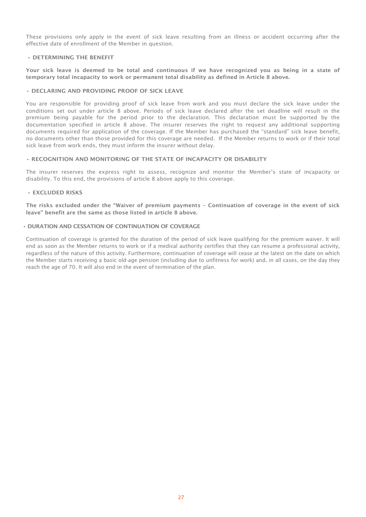These provisions only apply in the event of sick leave resulting from an illness or accident occurring after the effective date of enrollment of the Member in question.

#### • DETERMINING THE BENEFIT

Your sick leave is deemed to be total and continuous if we have recognized you as being in a state of temporary total incapacity to work or permanent total disability as defined in Article 8 above.

#### • DECLARING AND PROVIDING PROOF OF SICK LEAVE

You are responsible for providing proof of sick leave from work and you must declare the sick leave under the conditions set out under article 8 above. Periods of sick leave declared after the set deadline will result in the premium being payable for the period prior to the declaration. This declaration must be supported by the documentation specified in article 8 above. The insurer reserves the right to request any additional supporting documents required for application of the coverage. If the Member has purchased the "standard" sick leave benefit, no documents other than those provided for this coverage are needed. If the Member returns to work or if their total sick leave from work ends, they must inform the insurer without delay.

#### • RECOGNITION AND MONITORING OF THE STATE OF INCAPACITY OR DISABILITY

The insurer reserves the express right to assess, recognize and monitor the Member's state of incapacity or disability. To this end, the provisions of article 8 above apply to this coverage.

#### • EXCLUDED RISKS

The risks excluded under the "Waiver of premium payments – Continuation of coverage in the event of sick leave" benefit are the same as those listed in article 8 above.

#### • DURATION AND CESSATION OF CONTINUATION OF COVERAGE

Continuation of coverage is granted for the duration of the period of sick leave qualifying for the premium waiver. It will end as soon as the Member returns to work or if a medical authority certifies that they can resume a professional activity, regardless of the nature of this activity. Furthermore, continuation of coverage will cease at the latest on the date on which the Member starts receiving a basic old-age pension (including due to unfitness for work) and, in all cases, on the day they reach the age of 70. It will also end in the event of termination of the plan.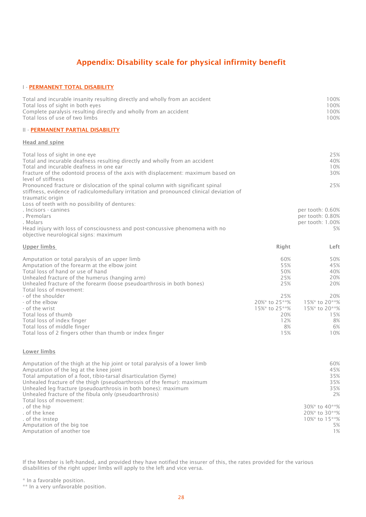# Appendix: Disability scale for physical infirmity benefit

# <span id="page-28-0"></span>I - PERMANENT TOTAL DISABILITY

| Total and incurable insanity resulting directly and wholly from an accident<br>Total loss of sight in both eyes<br>Complete paralysis resulting directly and wholly from an accident<br>Total loss of use of two limbs | 100%<br>100%<br>100%<br>100% |  |
|------------------------------------------------------------------------------------------------------------------------------------------------------------------------------------------------------------------------|------------------------------|--|
| II - PERMANENT PARTIAL DISABILITY                                                                                                                                                                                      |                              |  |
| Head and spine                                                                                                                                                                                                         |                              |  |
| Total loss of sight in one eye                                                                                                                                                                                         | 25%                          |  |

| <b>TOLAI TUSS OF SIGHT III ONE CYC</b><br>Total and incurable deafness resulting directly and wholly from an accident<br>Total and incurable deafness in one ear<br>Fracture of the odontoid process of the axis with displacement: maximum based on<br>level of stiffness                 |                                                                  | - <i>- 1</i> -<br>40%<br>10%<br>30%                             |
|--------------------------------------------------------------------------------------------------------------------------------------------------------------------------------------------------------------------------------------------------------------------------------------------|------------------------------------------------------------------|-----------------------------------------------------------------|
| Pronounced fracture or dislocation of the spinal column with significant spinal<br>stiffness, evidence of radiculomedullary irritation and pronounced clinical deviation of<br>traumatic origin<br>Loss of teeth with no possibility of dentures:                                          |                                                                  | 25%                                                             |
| . Incisors - canines<br>. Premolars<br>. Molars<br>Head injury with loss of consciousness and post-concussive phenomena with no<br>objective neurological signs: maximum                                                                                                                   |                                                                  | per tooth: 0.60%<br>per tooth: 0.80%<br>per tooth: 1.00%<br>5%  |
| Upper limbs                                                                                                                                                                                                                                                                                | Right                                                            | Left                                                            |
| Amputation or total paralysis of an upper limb<br>Amputation of the forearm at the elbow joint<br>Total loss of hand or use of hand<br>Unhealed fracture of the humerus (hanging arm)<br>Unhealed fracture of the forearm (loose pseudoarthrosis in both bones)<br>Total loss of movement: | 60%<br>55%<br>50%<br>25%<br>25%                                  | 50%<br>45%<br>40%<br>20%<br>20%                                 |
| - of the shoulder<br>- of the elbow<br>- of the wrist<br>Total loss of thumb<br>Total loss of index finger<br>Total loss of middle finger<br>Total loss of 2 fingers other than thumb or index finger                                                                                      | 25%<br>20%* to 25**%<br>15%* to 25**%<br>20%<br>12%<br>8%<br>15% | 20%<br>15%* to 20**%<br>15%* to 20**%<br>15%<br>8%<br>6%<br>10% |

#### Lower limbs

| Amputation of the thigh at the hip joint or total paralysis of a lower limb | 60%                  |
|-----------------------------------------------------------------------------|----------------------|
| Amputation of the leg at the knee joint                                     | 45%                  |
| Total amputation of a foot, tibio-tarsal disarticulation (Syme)             | 35%                  |
| Unhealed fracture of the thigh (pseudoarthrosis of the femur): maximum      | 35%                  |
| Unhealed leg fracture (pseudoarthrosis in both bones): maximum              | 35%                  |
| Unhealed fracture of the fibula only (pseudoarthrosis)                      | 2%                   |
| Total loss of movement:                                                     |                      |
| of the hip                                                                  | 30%* to 40**%        |
| of the knee .                                                               | 20%* to 30**%        |
| . of the instep                                                             | $10\%$ * to $15$ **% |
| Amputation of the big toe                                                   | 5%                   |
| Amputation of another toe                                                   | $1\%$                |

If the Member is left-handed, and provided they have notified the insurer of this, the rates provided for the various disabilities of the right upper limbs will apply to the left and vice versa.

\* In a favorable position.

\*\* In a very unfavorable position.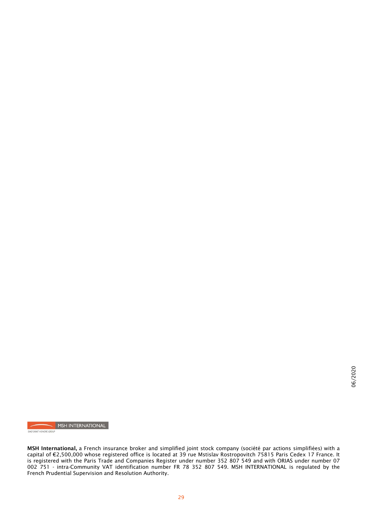MSH INTERNATIONAL

SIACI SAINT HONORE GROUP

MSH International, a French insurance broker and simplified joint stock company (société par actions simplifiées) with a capital of €2,500,000 whose registered office is located at 39 rue Mstislav Rostropovitch 75815 Paris Cedex 17 France. It is registered with the Paris Trade and Companies Register under number 352 807 549 and with ORIAS under number 07 002 751 - intra-Community VAT identification number FR 78 352 807 549. MSH INTERNATIONAL is regulated by the French Prudential Supervision and Resolution Authority.